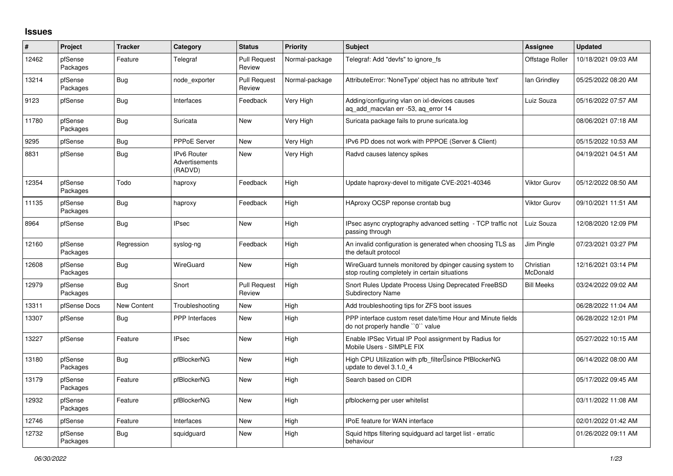## **Issues**

| #     | Project             | <b>Tracker</b>     | Category                                 | <b>Status</b>                 | <b>Priority</b> | <b>Subject</b>                                                                                            | Assignee              | <b>Updated</b>      |
|-------|---------------------|--------------------|------------------------------------------|-------------------------------|-----------------|-----------------------------------------------------------------------------------------------------------|-----------------------|---------------------|
| 12462 | pfSense<br>Packages | Feature            | Telegraf                                 | <b>Pull Request</b><br>Review | Normal-package  | Telegraf: Add "devfs" to ignore fs                                                                        | Offstage Roller       | 10/18/2021 09:03 AM |
| 13214 | pfSense<br>Packages | <b>Bug</b>         | node exporter                            | <b>Pull Request</b><br>Review | Normal-package  | AttributeError: 'NoneType' object has no attribute 'text'                                                 | lan Grindley          | 05/25/2022 08:20 AM |
| 9123  | pfSense             | <b>Bug</b>         | Interfaces                               | Feedback                      | Very High       | Adding/configuring vlan on ixl-devices causes<br>aq_add_macvlan err -53, aq_error 14                      | Luiz Souza            | 05/16/2022 07:57 AM |
| 11780 | pfSense<br>Packages | <b>Bug</b>         | Suricata                                 | New                           | Very High       | Suricata package fails to prune suricata.log                                                              |                       | 08/06/2021 07:18 AM |
| 9295  | pfSense             | Bug                | <b>PPPoE Server</b>                      | New                           | Very High       | IPv6 PD does not work with PPPOE (Server & Client)                                                        |                       | 05/15/2022 10:53 AM |
| 8831  | pfSense             | <b>Bug</b>         | IPv6 Router<br>Advertisements<br>(RADVD) | New                           | Very High       | Radvd causes latency spikes                                                                               |                       | 04/19/2021 04:51 AM |
| 12354 | pfSense<br>Packages | Todo               | haproxy                                  | Feedback                      | High            | Update haproxy-devel to mitigate CVE-2021-40346                                                           | <b>Viktor Gurov</b>   | 05/12/2022 08:50 AM |
| 11135 | pfSense<br>Packages | <b>Bug</b>         | haproxy                                  | Feedback                      | High            | HAproxy OCSP reponse crontab bug                                                                          | <b>Viktor Gurov</b>   | 09/10/2021 11:51 AM |
| 8964  | pfSense             | Bug                | <b>IPsec</b>                             | New                           | High            | IPsec async cryptography advanced setting - TCP traffic not<br>passing through                            | Luiz Souza            | 12/08/2020 12:09 PM |
| 12160 | pfSense<br>Packages | Regression         | syslog-ng                                | Feedback                      | High            | An invalid configuration is generated when choosing TLS as<br>the default protocol                        | Jim Pingle            | 07/23/2021 03:27 PM |
| 12608 | pfSense<br>Packages | <b>Bug</b>         | WireGuard                                | New                           | High            | WireGuard tunnels monitored by dpinger causing system to<br>stop routing completely in certain situations | Christian<br>McDonald | 12/16/2021 03:14 PM |
| 12979 | pfSense<br>Packages | <b>Bug</b>         | Snort                                    | <b>Pull Request</b><br>Review | High            | Snort Rules Update Process Using Deprecated FreeBSD<br><b>Subdirectory Name</b>                           | <b>Bill Meeks</b>     | 03/24/2022 09:02 AM |
| 13311 | pfSense Docs        | <b>New Content</b> | Troubleshooting                          | New                           | High            | Add troubleshooting tips for ZFS boot issues                                                              |                       | 06/28/2022 11:04 AM |
| 13307 | pfSense             | Bug                | <b>PPP</b> Interfaces                    | New                           | High            | PPP interface custom reset date/time Hour and Minute fields<br>do not properly handle "0" value           |                       | 06/28/2022 12:01 PM |
| 13227 | pfSense             | Feature            | <b>IPsec</b>                             | <b>New</b>                    | High            | Enable IPSec Virtual IP Pool assignment by Radius for<br>Mobile Users - SIMPLE FIX                        |                       | 05/27/2022 10:15 AM |
| 13180 | pfSense<br>Packages | Bug                | pfBlockerNG                              | New                           | High            | High CPU Utilization with pfb_filter <sup>[]</sup> since PfBlockerNG<br>update to devel 3.1.0 4           |                       | 06/14/2022 08:00 AM |
| 13179 | pfSense<br>Packages | Feature            | pfBlockerNG                              | New                           | High            | Search based on CIDR                                                                                      |                       | 05/17/2022 09:45 AM |
| 12932 | pfSense<br>Packages | Feature            | pfBlockerNG                              | New                           | High            | pfblockerng per user whitelist                                                                            |                       | 03/11/2022 11:08 AM |
| 12746 | pfSense             | Feature            | Interfaces                               | <b>New</b>                    | High            | <b>IPoE</b> feature for WAN interface                                                                     |                       | 02/01/2022 01:42 AM |
| 12732 | pfSense<br>Packages | Bug                | squidguard                               | New                           | High            | Squid https filtering squidguard acl target list - erratic<br>behaviour                                   |                       | 01/26/2022 09:11 AM |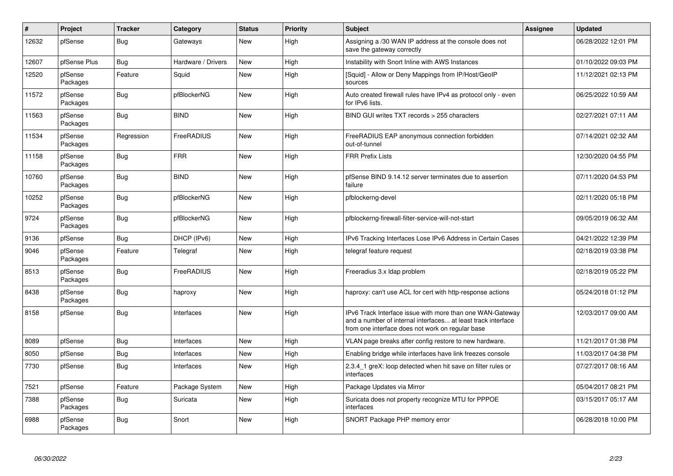| $\vert$ # | Project             | <b>Tracker</b> | Category           | <b>Status</b> | <b>Priority</b> | <b>Subject</b>                                                                                                                                                                | Assignee | <b>Updated</b>      |
|-----------|---------------------|----------------|--------------------|---------------|-----------------|-------------------------------------------------------------------------------------------------------------------------------------------------------------------------------|----------|---------------------|
| 12632     | pfSense             | <b>Bug</b>     | Gateways           | <b>New</b>    | High            | Assigning a /30 WAN IP address at the console does not<br>save the gateway correctly                                                                                          |          | 06/28/2022 12:01 PM |
| 12607     | pfSense Plus        | Bug            | Hardware / Drivers | New           | High            | Instability with Snort Inline with AWS Instances                                                                                                                              |          | 01/10/2022 09:03 PM |
| 12520     | pfSense<br>Packages | Feature        | Squid              | New           | High            | [Squid] - Allow or Deny Mappings from IP/Host/GeoIP<br>sources                                                                                                                |          | 11/12/2021 02:13 PM |
| 11572     | pfSense<br>Packages | <b>Bug</b>     | pfBlockerNG        | New           | High            | Auto created firewall rules have IPv4 as protocol only - even<br>for IPv6 lists.                                                                                              |          | 06/25/2022 10:59 AM |
| 11563     | pfSense<br>Packages | Bug            | <b>BIND</b>        | New           | High            | BIND GUI writes TXT records > 255 characters                                                                                                                                  |          | 02/27/2021 07:11 AM |
| 11534     | pfSense<br>Packages | Regression     | FreeRADIUS         | New           | High            | FreeRADIUS EAP anonymous connection forbidden<br>out-of-tunnel                                                                                                                |          | 07/14/2021 02:32 AM |
| 11158     | pfSense<br>Packages | <b>Bug</b>     | <b>FRR</b>         | New           | High            | <b>FRR Prefix Lists</b>                                                                                                                                                       |          | 12/30/2020 04:55 PM |
| 10760     | pfSense<br>Packages | <b>Bug</b>     | <b>BIND</b>        | <b>New</b>    | High            | pfSense BIND 9.14.12 server terminates due to assertion<br>failure                                                                                                            |          | 07/11/2020 04:53 PM |
| 10252     | pfSense<br>Packages | <b>Bug</b>     | pfBlockerNG        | New           | High            | pfblockerng-devel                                                                                                                                                             |          | 02/11/2020 05:18 PM |
| 9724      | pfSense<br>Packages | <b>Bug</b>     | pfBlockerNG        | <b>New</b>    | High            | pfblockerng-firewall-filter-service-will-not-start                                                                                                                            |          | 09/05/2019 06:32 AM |
| 9136      | pfSense             | <b>Bug</b>     | DHCP (IPv6)        | <b>New</b>    | High            | IPv6 Tracking Interfaces Lose IPv6 Address in Certain Cases                                                                                                                   |          | 04/21/2022 12:39 PM |
| 9046      | pfSense<br>Packages | Feature        | Telegraf           | New           | High            | telegraf feature request                                                                                                                                                      |          | 02/18/2019 03:38 PM |
| 8513      | pfSense<br>Packages | <b>Bug</b>     | FreeRADIUS         | New           | High            | Freeradius 3.x Idap problem                                                                                                                                                   |          | 02/18/2019 05:22 PM |
| 8438      | pfSense<br>Packages | <b>Bug</b>     | haproxy            | <b>New</b>    | High            | haproxy: can't use ACL for cert with http-response actions                                                                                                                    |          | 05/24/2018 01:12 PM |
| 8158      | pfSense             | Bug            | Interfaces         | <b>New</b>    | High            | IPv6 Track Interface issue with more than one WAN-Gateway<br>and a number of internal interfaces at least track interface<br>from one interface does not work on regular base |          | 12/03/2017 09:00 AM |
| 8089      | pfSense             | <b>Bug</b>     | Interfaces         | <b>New</b>    | High            | VLAN page breaks after config restore to new hardware.                                                                                                                        |          | 11/21/2017 01:38 PM |
| 8050      | pfSense             | <b>Bug</b>     | Interfaces         | New           | High            | Enabling bridge while interfaces have link freezes console                                                                                                                    |          | 11/03/2017 04:38 PM |
| 7730      | pfSense             | <b>Bug</b>     | Interfaces         | <b>New</b>    | High            | 2.3.4 1 greX: loop detected when hit save on filter rules or<br>interfaces                                                                                                    |          | 07/27/2017 08:16 AM |
| 7521      | pfSense             | Feature        | Package System     | New           | High            | Package Updates via Mirror                                                                                                                                                    |          | 05/04/2017 08:21 PM |
| 7388      | pfSense<br>Packages | Bug            | Suricata           | New           | High            | Suricata does not property recognize MTU for PPPOE<br>interfaces                                                                                                              |          | 03/15/2017 05:17 AM |
| 6988      | pfSense<br>Packages | <b>Bug</b>     | Snort              | <b>New</b>    | High            | SNORT Package PHP memory error                                                                                                                                                |          | 06/28/2018 10:00 PM |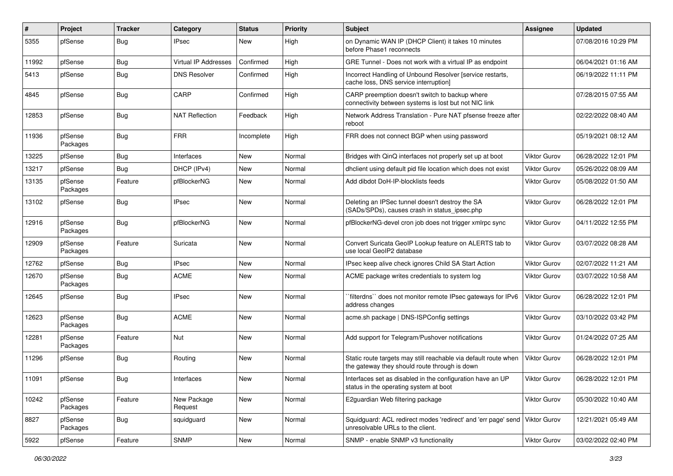| #     | Project             | Tracker    | Category               | <b>Status</b> | <b>Priority</b> | <b>Subject</b>                                                                                                   | Assignee            | <b>Updated</b>      |
|-------|---------------------|------------|------------------------|---------------|-----------------|------------------------------------------------------------------------------------------------------------------|---------------------|---------------------|
| 5355  | pfSense             | <b>Bug</b> | <b>IPsec</b>           | New           | High            | on Dynamic WAN IP (DHCP Client) it takes 10 minutes<br>before Phase1 reconnects                                  |                     | 07/08/2016 10:29 PM |
| 11992 | pfSense             | Bug        | Virtual IP Addresses   | Confirmed     | High            | GRE Tunnel - Does not work with a virtual IP as endpoint                                                         |                     | 06/04/2021 01:16 AM |
| 5413  | pfSense             | <b>Bug</b> | <b>DNS Resolver</b>    | Confirmed     | High            | Incorrect Handling of Unbound Resolver [service restarts,<br>cache loss, DNS service interruption]               |                     | 06/19/2022 11:11 PM |
| 4845  | pfSense             | <b>Bug</b> | CARP                   | Confirmed     | High            | CARP preemption doesn't switch to backup where<br>connectivity between systems is lost but not NIC link          |                     | 07/28/2015 07:55 AM |
| 12853 | pfSense             | <b>Bug</b> | <b>NAT Reflection</b>  | Feedback      | High            | Network Address Translation - Pure NAT pfsense freeze after<br>reboot                                            |                     | 02/22/2022 08:40 AM |
| 11936 | pfSense<br>Packages | Bug        | <b>FRR</b>             | Incomplete    | High            | FRR does not connect BGP when using password                                                                     |                     | 05/19/2021 08:12 AM |
| 13225 | pfSense             | Bug        | Interfaces             | New           | Normal          | Bridges with QinQ interfaces not properly set up at boot                                                         | <b>Viktor Gurov</b> | 06/28/2022 12:01 PM |
| 13217 | pfSense             | <b>Bug</b> | DHCP (IPv4)            | New           | Normal          | dhclient using default pid file location which does not exist                                                    | Viktor Gurov        | 05/26/2022 08:09 AM |
| 13135 | pfSense<br>Packages | Feature    | pfBlockerNG            | New           | Normal          | Add dibdot DoH-IP-blocklists feeds                                                                               | Viktor Gurov        | 05/08/2022 01:50 AM |
| 13102 | pfSense             | <b>Bug</b> | <b>IPsec</b>           | New           | Normal          | Deleting an IPSec tunnel doesn't destroy the SA<br>(SADs/SPDs), causes crash in status_ipsec.php                 | Viktor Gurov        | 06/28/2022 12:01 PM |
| 12916 | pfSense<br>Packages | Bug        | pfBlockerNG            | New           | Normal          | pfBlockerNG-devel cron job does not trigger xmlrpc sync                                                          | Viktor Gurov        | 04/11/2022 12:55 PM |
| 12909 | pfSense<br>Packages | Feature    | Suricata               | New           | Normal          | Convert Suricata GeoIP Lookup feature on ALERTS tab to<br>use local GeoIP2 database                              | Viktor Gurov        | 03/07/2022 08:28 AM |
| 12762 | pfSense             | <b>Bug</b> | <b>IPsec</b>           | <b>New</b>    | Normal          | IPsec keep alive check ignores Child SA Start Action                                                             | <b>Viktor Gurov</b> | 02/07/2022 11:21 AM |
| 12670 | pfSense<br>Packages | <b>Bug</b> | <b>ACME</b>            | New           | Normal          | ACME package writes credentials to system log                                                                    | Viktor Gurov        | 03/07/2022 10:58 AM |
| 12645 | pfSense             | Bug        | <b>IPsec</b>           | New           | Normal          | `filterdns`` does not monitor remote IPsec gateways for IPv6<br>address changes                                  | Viktor Gurov        | 06/28/2022 12:01 PM |
| 12623 | pfSense<br>Packages | <b>Bug</b> | <b>ACME</b>            | New           | Normal          | acme.sh package   DNS-ISPConfig settings                                                                         | Viktor Gurov        | 03/10/2022 03:42 PM |
| 12281 | pfSense<br>Packages | Feature    | Nut                    | New           | Normal          | Add support for Telegram/Pushover notifications                                                                  | Viktor Gurov        | 01/24/2022 07:25 AM |
| 11296 | pfSense             | <b>Bug</b> | Routing                | New           | Normal          | Static route targets may still reachable via default route when<br>the gateway they should route through is down | <b>Viktor Gurov</b> | 06/28/2022 12:01 PM |
| 11091 | pfSense             | Bug        | Interfaces             | New           | Normal          | Interfaces set as disabled in the configuration have an UP<br>status in the operating system at boot             | Viktor Gurov        | 06/28/2022 12:01 PM |
| 10242 | pfSense<br>Packages | Feature    | New Package<br>Request | <b>New</b>    | Normal          | E2guardian Web filtering package                                                                                 | <b>Viktor Gurov</b> | 05/30/2022 10:40 AM |
| 8827  | pfSense<br>Packages | Bug        | squidguard             | New           | Normal          | Squidguard: ACL redirect modes 'redirect' and 'err page' send   Viktor Gurov<br>unresolvable URLs to the client. |                     | 12/21/2021 05:49 AM |
| 5922  | pfSense             | Feature    | <b>SNMP</b>            | New           | Normal          | SNMP - enable SNMP v3 functionality                                                                              | <b>Viktor Gurov</b> | 03/02/2022 02:40 PM |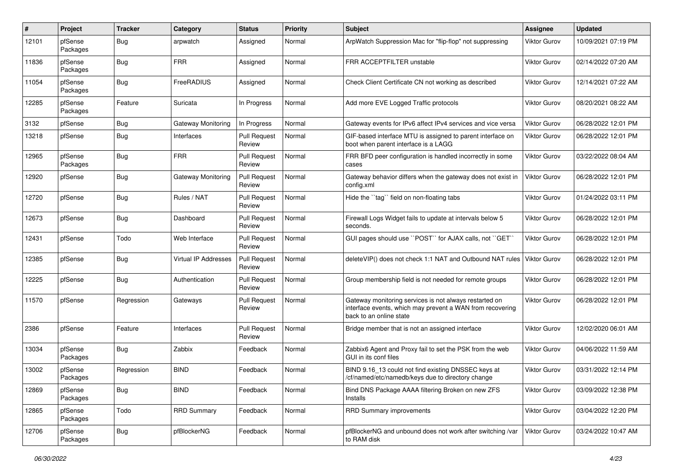| #     | Project             | <b>Tracker</b> | Category                    | <b>Status</b>                 | <b>Priority</b> | <b>Subject</b>                                                                                                                                 | Assignee            | <b>Updated</b>      |
|-------|---------------------|----------------|-----------------------------|-------------------------------|-----------------|------------------------------------------------------------------------------------------------------------------------------------------------|---------------------|---------------------|
| 12101 | pfSense<br>Packages | <b>Bug</b>     | arpwatch                    | Assigned                      | Normal          | ArpWatch Suppression Mac for "flip-flop" not suppressing                                                                                       | <b>Viktor Gurov</b> | 10/09/2021 07:19 PM |
| 11836 | pfSense<br>Packages | <b>Bug</b>     | <b>FRR</b>                  | Assigned                      | Normal          | <b>FRR ACCEPTFILTER unstable</b>                                                                                                               | <b>Viktor Gurov</b> | 02/14/2022 07:20 AM |
| 11054 | pfSense<br>Packages | <b>Bug</b>     | FreeRADIUS                  | Assigned                      | Normal          | Check Client Certificate CN not working as described                                                                                           | <b>Viktor Gurov</b> | 12/14/2021 07:22 AM |
| 12285 | pfSense<br>Packages | Feature        | Suricata                    | In Progress                   | Normal          | Add more EVE Logged Traffic protocols                                                                                                          | <b>Viktor Gurov</b> | 08/20/2021 08:22 AM |
| 3132  | pfSense             | <b>Bug</b>     | <b>Gateway Monitoring</b>   | In Progress                   | Normal          | Gateway events for IPv6 affect IPv4 services and vice versa                                                                                    | Viktor Gurov        | 06/28/2022 12:01 PM |
| 13218 | pfSense             | <b>Bug</b>     | Interfaces                  | <b>Pull Request</b><br>Review | Normal          | GIF-based interface MTU is assigned to parent interface on<br>boot when parent interface is a LAGG                                             | Viktor Gurov        | 06/28/2022 12:01 PM |
| 12965 | pfSense<br>Packages | <b>Bug</b>     | <b>FRR</b>                  | <b>Pull Request</b><br>Review | Normal          | FRR BFD peer configuration is handled incorrectly in some<br>cases                                                                             | Viktor Gurov        | 03/22/2022 08:04 AM |
| 12920 | pfSense             | Bug            | Gateway Monitoring          | <b>Pull Request</b><br>Review | Normal          | Gateway behavior differs when the gateway does not exist in<br>config.xml                                                                      | Viktor Gurov        | 06/28/2022 12:01 PM |
| 12720 | pfSense             | Bug            | Rules / NAT                 | <b>Pull Request</b><br>Review | Normal          | Hide the "tag" field on non-floating tabs                                                                                                      | Viktor Gurov        | 01/24/2022 03:11 PM |
| 12673 | pfSense             | <b>Bug</b>     | Dashboard                   | <b>Pull Request</b><br>Review | Normal          | Firewall Logs Widget fails to update at intervals below 5<br>seconds.                                                                          | <b>Viktor Gurov</b> | 06/28/2022 12:01 PM |
| 12431 | pfSense             | Todo           | Web Interface               | <b>Pull Request</b><br>Review | Normal          | GUI pages should use "POST" for AJAX calls, not "GET"                                                                                          | <b>Viktor Gurov</b> | 06/28/2022 12:01 PM |
| 12385 | pfSense             | <b>Bug</b>     | <b>Virtual IP Addresses</b> | <b>Pull Request</b><br>Review | Normal          | deleteVIP() does not check 1:1 NAT and Outbound NAT rules                                                                                      | <b>Viktor Gurov</b> | 06/28/2022 12:01 PM |
| 12225 | pfSense             | Bug            | Authentication              | <b>Pull Request</b><br>Review | Normal          | Group membership field is not needed for remote groups                                                                                         | <b>Viktor Gurov</b> | 06/28/2022 12:01 PM |
| 11570 | pfSense             | Regression     | Gateways                    | <b>Pull Request</b><br>Review | Normal          | Gateway monitoring services is not always restarted on<br>interface events, which may prevent a WAN from recovering<br>back to an online state | <b>Viktor Gurov</b> | 06/28/2022 12:01 PM |
| 2386  | pfSense             | Feature        | Interfaces                  | <b>Pull Request</b><br>Review | Normal          | Bridge member that is not an assigned interface                                                                                                | <b>Viktor Gurov</b> | 12/02/2020 06:01 AM |
| 13034 | pfSense<br>Packages | <b>Bug</b>     | Zabbix                      | Feedback                      | Normal          | Zabbix6 Agent and Proxy fail to set the PSK from the web<br>GUI in its conf files                                                              | Viktor Gurov        | 04/06/2022 11:59 AM |
| 13002 | pfSense<br>Packages | Regression     | <b>BIND</b>                 | Feedback                      | Normal          | BIND 9.16 13 could not find existing DNSSEC keys at<br>/cf/named/etc/namedb/keys due to directory change                                       | <b>Viktor Gurov</b> | 03/31/2022 12:14 PM |
| 12869 | pfSense<br>Packages | <b>Bug</b>     | <b>BIND</b>                 | Feedback                      | Normal          | Bind DNS Package AAAA filtering Broken on new ZFS<br>Installs                                                                                  | <b>Viktor Gurov</b> | 03/09/2022 12:38 PM |
| 12865 | pfSense<br>Packages | Todo           | <b>RRD Summary</b>          | Feedback                      | Normal          | RRD Summary improvements                                                                                                                       | Viktor Gurov        | 03/04/2022 12:20 PM |
| 12706 | pfSense<br>Packages | <b>Bug</b>     | pfBlockerNG                 | Feedback                      | Normal          | pfBlockerNG and unbound does not work after switching /var<br>to RAM disk                                                                      | Viktor Gurov        | 03/24/2022 10:47 AM |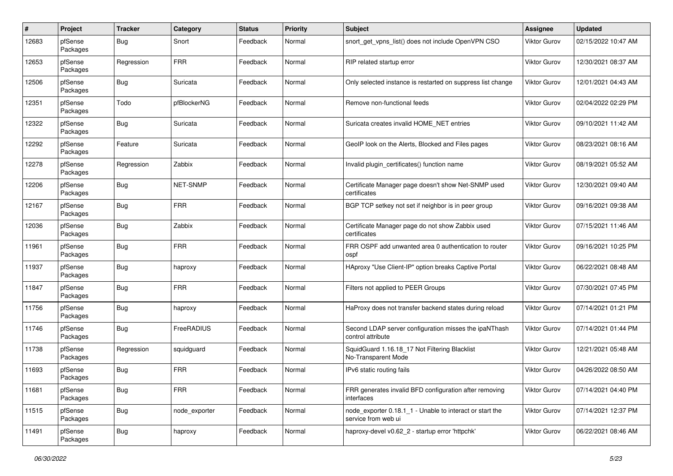| #     | Project             | <b>Tracker</b> | Category        | <b>Status</b> | <b>Priority</b> | <b>Subject</b>                                                                  | <b>Assignee</b>     | <b>Updated</b>      |
|-------|---------------------|----------------|-----------------|---------------|-----------------|---------------------------------------------------------------------------------|---------------------|---------------------|
| 12683 | pfSense<br>Packages | <b>Bug</b>     | Snort           | Feedback      | Normal          | snort get vpns list() does not include OpenVPN CSO                              | <b>Viktor Gurov</b> | 02/15/2022 10:47 AM |
| 12653 | pfSense<br>Packages | Regression     | <b>FRR</b>      | Feedback      | Normal          | RIP related startup error                                                       | <b>Viktor Gurov</b> | 12/30/2021 08:37 AM |
| 12506 | pfSense<br>Packages | <b>Bug</b>     | Suricata        | Feedback      | Normal          | Only selected instance is restarted on suppress list change                     | Viktor Gurov        | 12/01/2021 04:43 AM |
| 12351 | pfSense<br>Packages | Todo           | pfBlockerNG     | Feedback      | Normal          | Remove non-functional feeds                                                     | <b>Viktor Gurov</b> | 02/04/2022 02:29 PM |
| 12322 | pfSense<br>Packages | <b>Bug</b>     | Suricata        | Feedback      | Normal          | Suricata creates invalid HOME_NET entries                                       | Viktor Gurov        | 09/10/2021 11:42 AM |
| 12292 | pfSense<br>Packages | Feature        | Suricata        | Feedback      | Normal          | GeoIP look on the Alerts, Blocked and Files pages                               | Viktor Gurov        | 08/23/2021 08:16 AM |
| 12278 | pfSense<br>Packages | Regression     | Zabbix          | Feedback      | Normal          | Invalid plugin certificates() function name                                     | <b>Viktor Gurov</b> | 08/19/2021 05:52 AM |
| 12206 | pfSense<br>Packages | Bug            | <b>NET-SNMP</b> | Feedback      | Normal          | Certificate Manager page doesn't show Net-SNMP used<br>certificates             | <b>Viktor Gurov</b> | 12/30/2021 09:40 AM |
| 12167 | pfSense<br>Packages | Bug            | <b>FRR</b>      | Feedback      | Normal          | BGP TCP setkey not set if neighbor is in peer group                             | <b>Viktor Gurov</b> | 09/16/2021 09:38 AM |
| 12036 | pfSense<br>Packages | Bug            | Zabbix          | Feedback      | Normal          | Certificate Manager page do not show Zabbix used<br>certificates                | Viktor Gurov        | 07/15/2021 11:46 AM |
| 11961 | pfSense<br>Packages | Bug            | <b>FRR</b>      | Feedback      | Normal          | FRR OSPF add unwanted area 0 authentication to router<br>ospf                   | <b>Viktor Gurov</b> | 09/16/2021 10:25 PM |
| 11937 | pfSense<br>Packages | Bug            | haproxy         | Feedback      | Normal          | HAproxy "Use Client-IP" option breaks Captive Portal                            | Viktor Gurov        | 06/22/2021 08:48 AM |
| 11847 | pfSense<br>Packages | Bug            | <b>FRR</b>      | Feedback      | Normal          | Filters not applied to PEER Groups                                              | Viktor Gurov        | 07/30/2021 07:45 PM |
| 11756 | pfSense<br>Packages | Bug            | haproxy         | Feedback      | Normal          | HaProxy does not transfer backend states during reload                          | Viktor Gurov        | 07/14/2021 01:21 PM |
| 11746 | pfSense<br>Packages | Bug            | FreeRADIUS      | Feedback      | Normal          | Second LDAP server configuration misses the ipaNThash<br>control attribute      | Viktor Gurov        | 07/14/2021 01:44 PM |
| 11738 | pfSense<br>Packages | Regression     | squidguard      | Feedback      | Normal          | SquidGuard 1.16.18 17 Not Filtering Blacklist<br>No-Transparent Mode            | <b>Viktor Gurov</b> | 12/21/2021 05:48 AM |
| 11693 | pfSense<br>Packages | <b>Bug</b>     | <b>FRR</b>      | Feedback      | Normal          | IPv6 static routing fails                                                       | Viktor Gurov        | 04/26/2022 08:50 AM |
| 11681 | pfSense<br>Packages | <b>Bug</b>     | <b>FRR</b>      | Feedback      | Normal          | FRR generates invalid BFD configuration after removing<br>interfaces            | Viktor Gurov        | 07/14/2021 04:40 PM |
| 11515 | pfSense<br>Packages | <b>Bug</b>     | node exporter   | Feedback      | Normal          | node exporter 0.18.1 1 - Unable to interact or start the<br>service from web ui | Viktor Gurov        | 07/14/2021 12:37 PM |
| 11491 | pfSense<br>Packages | Bug            | haproxy         | Feedback      | Normal          | haproxy-devel v0.62 2 - startup error 'httpchk'                                 | Viktor Gurov        | 06/22/2021 08:46 AM |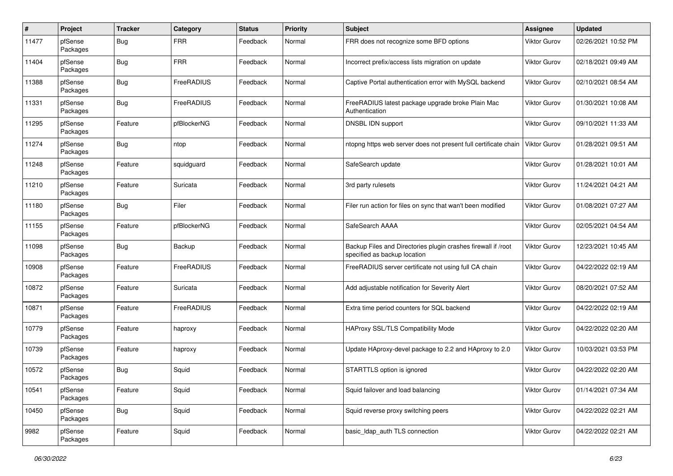| $\pmb{\#}$ | Project             | <b>Tracker</b> | Category    | <b>Status</b> | <b>Priority</b> | Subject                                                                                       | Assignee            | <b>Updated</b>      |
|------------|---------------------|----------------|-------------|---------------|-----------------|-----------------------------------------------------------------------------------------------|---------------------|---------------------|
| 11477      | pfSense<br>Packages | Bug            | <b>FRR</b>  | Feedback      | Normal          | FRR does not recognize some BFD options                                                       | Viktor Gurov        | 02/26/2021 10:52 PM |
| 11404      | pfSense<br>Packages | Bug            | <b>FRR</b>  | Feedback      | Normal          | Incorrect prefix/access lists migration on update                                             | Viktor Gurov        | 02/18/2021 09:49 AM |
| 11388      | pfSense<br>Packages | <b>Bug</b>     | FreeRADIUS  | Feedback      | Normal          | Captive Portal authentication error with MySQL backend                                        | Viktor Gurov        | 02/10/2021 08:54 AM |
| 11331      | pfSense<br>Packages | Bug            | FreeRADIUS  | Feedback      | Normal          | FreeRADIUS latest package upgrade broke Plain Mac<br>Authentication                           | Viktor Gurov        | 01/30/2021 10:08 AM |
| 11295      | pfSense<br>Packages | Feature        | pfBlockerNG | Feedback      | Normal          | DNSBL IDN support                                                                             | <b>Viktor Gurov</b> | 09/10/2021 11:33 AM |
| 11274      | pfSense<br>Packages | Bug            | ntop        | Feedback      | Normal          | ntopng https web server does not present full certificate chain                               | Viktor Gurov        | 01/28/2021 09:51 AM |
| 11248      | pfSense<br>Packages | Feature        | squidguard  | Feedback      | Normal          | SafeSearch update                                                                             | Viktor Gurov        | 01/28/2021 10:01 AM |
| 11210      | pfSense<br>Packages | Feature        | Suricata    | Feedback      | Normal          | 3rd party rulesets                                                                            | Viktor Gurov        | 11/24/2021 04:21 AM |
| 11180      | pfSense<br>Packages | Bug            | Filer       | Feedback      | Normal          | Filer run action for files on sync that wan't been modified                                   | Viktor Gurov        | 01/08/2021 07:27 AM |
| 11155      | pfSense<br>Packages | Feature        | pfBlockerNG | Feedback      | Normal          | SafeSearch AAAA                                                                               | Viktor Gurov        | 02/05/2021 04:54 AM |
| 11098      | pfSense<br>Packages | Bug            | Backup      | Feedback      | Normal          | Backup Files and Directories plugin crashes firewall if /root<br>specified as backup location | Viktor Gurov        | 12/23/2021 10:45 AM |
| 10908      | pfSense<br>Packages | Feature        | FreeRADIUS  | Feedback      | Normal          | FreeRADIUS server certificate not using full CA chain                                         | Viktor Gurov        | 04/22/2022 02:19 AM |
| 10872      | pfSense<br>Packages | Feature        | Suricata    | Feedback      | Normal          | Add adjustable notification for Severity Alert                                                | <b>Viktor Gurov</b> | 08/20/2021 07:52 AM |
| 10871      | pfSense<br>Packages | Feature        | FreeRADIUS  | Feedback      | Normal          | Extra time period counters for SQL backend                                                    | <b>Viktor Gurov</b> | 04/22/2022 02:19 AM |
| 10779      | pfSense<br>Packages | Feature        | haproxy     | Feedback      | Normal          | <b>HAProxy SSL/TLS Compatibility Mode</b>                                                     | Viktor Gurov        | 04/22/2022 02:20 AM |
| 10739      | pfSense<br>Packages | Feature        | haproxy     | Feedback      | Normal          | Update HAproxy-devel package to 2.2 and HAproxy to 2.0                                        | Viktor Gurov        | 10/03/2021 03:53 PM |
| 10572      | pfSense<br>Packages | <b>Bug</b>     | Squid       | Feedback      | Normal          | STARTTLS option is ignored                                                                    | <b>Viktor Gurov</b> | 04/22/2022 02:20 AM |
| 10541      | pfSense<br>Packages | Feature        | Squid       | Feedback      | Normal          | Squid failover and load balancing                                                             | Viktor Gurov        | 01/14/2021 07:34 AM |
| 10450      | pfSense<br>Packages | <b>Bug</b>     | Squid       | Feedback      | Normal          | Squid reverse proxy switching peers                                                           | Viktor Gurov        | 04/22/2022 02:21 AM |
| 9982       | pfSense<br>Packages | Feature        | Squid       | Feedback      | Normal          | basic Idap auth TLS connection                                                                | <b>Viktor Gurov</b> | 04/22/2022 02:21 AM |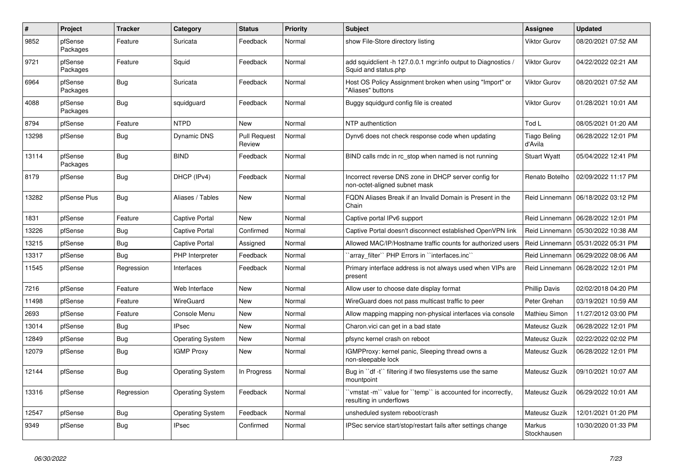| $\vert$ # | Project             | <b>Tracker</b> | Category                | Status                        | <b>Priority</b> | <b>Subject</b>                                                                           | <b>Assignee</b>                | <b>Updated</b>                       |
|-----------|---------------------|----------------|-------------------------|-------------------------------|-----------------|------------------------------------------------------------------------------------------|--------------------------------|--------------------------------------|
| 9852      | pfSense<br>Packages | Feature        | Suricata                | Feedback                      | Normal          | show File-Store directory listing                                                        | <b>Viktor Gurov</b>            | 08/20/2021 07:52 AM                  |
| 9721      | pfSense<br>Packages | Feature        | Squid                   | Feedback                      | Normal          | add squidclient -h 127.0.0.1 mgr:info output to Diagnostics /<br>Squid and status.php    | <b>Viktor Gurov</b>            | 04/22/2022 02:21 AM                  |
| 6964      | pfSense<br>Packages | Bug            | Suricata                | Feedback                      | Normal          | Host OS Policy Assignment broken when using "Import" or<br>"Aliases" buttons             | <b>Viktor Gurov</b>            | 08/20/2021 07:52 AM                  |
| 4088      | pfSense<br>Packages | Bug            | squidguard              | Feedback                      | Normal          | Buggy squidgurd config file is created                                                   | <b>Viktor Gurov</b>            | 01/28/2021 10:01 AM                  |
| 8794      | pfSense             | Feature        | <b>NTPD</b>             | New                           | Normal          | NTP authentiction                                                                        | Tod L                          | 08/05/2021 01:20 AM                  |
| 13298     | pfSense             | Bug            | <b>Dynamic DNS</b>      | <b>Pull Request</b><br>Review | Normal          | Dynv6 does not check response code when updating                                         | <b>Tiago Beling</b><br>d'Avila | 06/28/2022 12:01 PM                  |
| 13114     | pfSense<br>Packages | Bug            | <b>BIND</b>             | Feedback                      | Normal          | BIND calls rndc in rc stop when named is not running                                     | <b>Stuart Wyatt</b>            | 05/04/2022 12:41 PM                  |
| 8179      | pfSense             | Bug            | DHCP (IPv4)             | Feedback                      | Normal          | Incorrect reverse DNS zone in DHCP server config for<br>non-octet-aligned subnet mask    | Renato Botelho                 | 02/09/2022 11:17 PM                  |
| 13282     | pfSense Plus        | Bug            | Aliases / Tables        | New                           | Normal          | FQDN Aliases Break if an Invalid Domain is Present in the<br>Chain                       |                                | Reid Linnemann   06/18/2022 03:12 PM |
| 1831      | pfSense             | Feature        | Captive Portal          | New                           | Normal          | Captive portal IPv6 support                                                              | Reid Linnemann                 | 06/28/2022 12:01 PM                  |
| 13226     | pfSense             | Bug            | <b>Captive Portal</b>   | Confirmed                     | Normal          | Captive Portal doesn't disconnect established OpenVPN link                               | Reid Linnemann                 | 05/30/2022 10:38 AM                  |
| 13215     | pfSense             | Bug            | <b>Captive Portal</b>   | Assigned                      | Normal          | Allowed MAC/IP/Hostname traffic counts for authorized users                              | Reid Linnemann                 | 05/31/2022 05:31 PM                  |
| 13317     | pfSense             | <b>Bug</b>     | PHP Interpreter         | Feedback                      | Normal          | `array_filter`` PHP Errors in ``interfaces.inc``                                         | Reid Linnemann                 | 06/29/2022 08:06 AM                  |
| 11545     | pfSense             | Regression     | Interfaces              | Feedback                      | Normal          | Primary interface address is not always used when VIPs are<br>present                    | Reid Linnemann                 | 06/28/2022 12:01 PM                  |
| 7216      | pfSense             | Feature        | Web Interface           | <b>New</b>                    | Normal          | Allow user to choose date display format                                                 | <b>Phillip Davis</b>           | 02/02/2018 04:20 PM                  |
| 11498     | pfSense             | Feature        | WireGuard               | New                           | Normal          | WireGuard does not pass multicast traffic to peer                                        | Peter Grehan                   | 03/19/2021 10:59 AM                  |
| 2693      | pfSense             | Feature        | Console Menu            | New                           | Normal          | Allow mapping mapping non-physical interfaces via console                                | Mathieu Simon                  | 11/27/2012 03:00 PM                  |
| 13014     | pfSense             | Bug            | <b>IPsec</b>            | <b>New</b>                    | Normal          | Charon.vici can get in a bad state                                                       | Mateusz Guzik                  | 06/28/2022 12:01 PM                  |
| 12849     | pfSense             | <b>Bug</b>     | <b>Operating System</b> | New                           | Normal          | pfsync kernel crash on reboot                                                            | Mateusz Guzik                  | 02/22/2022 02:02 PM                  |
| 12079     | pfSense             | <b>Bug</b>     | <b>IGMP Proxy</b>       | New                           | Normal          | IGMPProxy: kernel panic, Sleeping thread owns a<br>non-sleepable lock                    | Mateusz Guzik                  | 06/28/2022 12:01 PM                  |
| 12144     | pfSense             | <b>Bug</b>     | <b>Operating System</b> | In Progress                   | Normal          | Bug in "df -t" filtering if two filesystems use the same<br>mountpoint                   | Mateusz Guzik                  | 09/10/2021 10:07 AM                  |
| 13316     | pfSense             | Regression     | <b>Operating System</b> | Feedback                      | Normal          | 'vmstat -m'` value for ''temp'' is accounted for incorrectly,<br>resulting in underflows | Mateusz Guzik                  | 06/29/2022 10:01 AM                  |
| 12547     | pfSense             | <b>Bug</b>     | <b>Operating System</b> | Feedback                      | Normal          | unsheduled system reboot/crash                                                           | Mateusz Guzik                  | 12/01/2021 01:20 PM                  |
| 9349      | pfSense             | Bug            | <b>IPsec</b>            | Confirmed                     | Normal          | IPSec service start/stop/restart fails after settings change                             | Markus<br>Stockhausen          | 10/30/2020 01:33 PM                  |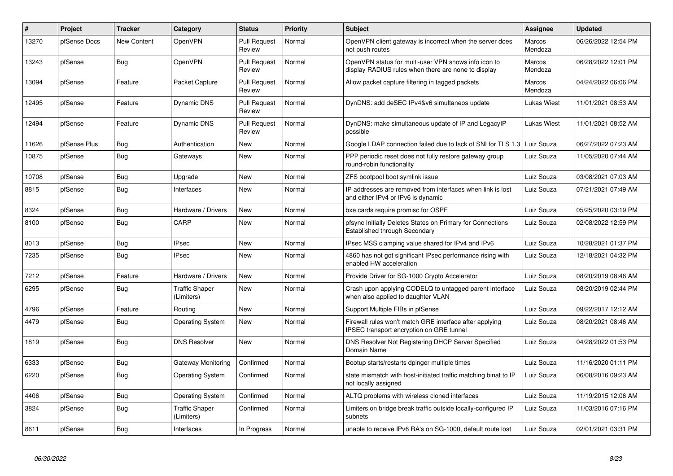| $\vert$ # | Project      | <b>Tracker</b>     | Category                            | <b>Status</b>                 | <b>Priority</b> | <b>Subject</b>                                                                                              | <b>Assignee</b>   | <b>Updated</b>      |
|-----------|--------------|--------------------|-------------------------------------|-------------------------------|-----------------|-------------------------------------------------------------------------------------------------------------|-------------------|---------------------|
| 13270     | pfSense Docs | <b>New Content</b> | OpenVPN                             | <b>Pull Request</b><br>Review | Normal          | OpenVPN client gateway is incorrect when the server does<br>not push routes                                 | Marcos<br>Mendoza | 06/26/2022 12:54 PM |
| 13243     | pfSense      | <b>Bug</b>         | OpenVPN                             | <b>Pull Request</b><br>Review | Normal          | OpenVPN status for multi-user VPN shows info icon to<br>display RADIUS rules when there are none to display | Marcos<br>Mendoza | 06/28/2022 12:01 PM |
| 13094     | pfSense      | Feature            | Packet Capture                      | <b>Pull Request</b><br>Review | Normal          | Allow packet capture filtering in tagged packets                                                            | Marcos<br>Mendoza | 04/24/2022 06:06 PM |
| 12495     | pfSense      | Feature            | <b>Dynamic DNS</b>                  | <b>Pull Request</b><br>Review | Normal          | DynDNS: add deSEC IPv4&v6 simultaneos update                                                                | Lukas Wiest       | 11/01/2021 08:53 AM |
| 12494     | pfSense      | Feature            | Dynamic DNS                         | <b>Pull Request</b><br>Review | Normal          | DynDNS: make simultaneous update of IP and LegacyIP<br>possible                                             | Lukas Wiest       | 11/01/2021 08:52 AM |
| 11626     | pfSense Plus | <b>Bug</b>         | Authentication                      | <b>New</b>                    | Normal          | Google LDAP connection failed due to lack of SNI for TLS 1.3                                                | Luiz Souza        | 06/27/2022 07:23 AM |
| 10875     | pfSense      | <b>Bug</b>         | Gateways                            | New                           | Normal          | PPP periodic reset does not fully restore gateway group<br>round-robin functionality                        | Luiz Souza        | 11/05/2020 07:44 AM |
| 10708     | pfSense      | <b>Bug</b>         | Upgrade                             | New                           | Normal          | ZFS bootpool boot symlink issue                                                                             | Luiz Souza        | 03/08/2021 07:03 AM |
| 8815      | pfSense      | <b>Bug</b>         | Interfaces                          | New                           | Normal          | IP addresses are removed from interfaces when link is lost<br>and either IPv4 or IPv6 is dynamic            | Luiz Souza        | 07/21/2021 07:49 AM |
| 8324      | pfSense      | <b>Bug</b>         | Hardware / Drivers                  | <b>New</b>                    | Normal          | bxe cards require promisc for OSPF                                                                          | Luiz Souza        | 05/25/2020 03:19 PM |
| 8100      | pfSense      | <b>Bug</b>         | CARP                                | New                           | Normal          | pfsync Initially Deletes States on Primary for Connections<br>Established through Secondary                 | Luiz Souza        | 02/08/2022 12:59 PM |
| 8013      | pfSense      | Bug                | <b>IPsec</b>                        | New                           | Normal          | IPsec MSS clamping value shared for IPv4 and IPv6                                                           | Luiz Souza        | 10/28/2021 01:37 PM |
| 7235      | pfSense      | <b>Bug</b>         | <b>IPsec</b>                        | New                           | Normal          | 4860 has not got significant IPsec performance rising with<br>enabled HW acceleration                       | Luiz Souza        | 12/18/2021 04:32 PM |
| 7212      | pfSense      | Feature            | Hardware / Drivers                  | New                           | Normal          | Provide Driver for SG-1000 Crypto Accelerator                                                               | Luiz Souza        | 08/20/2019 08:46 AM |
| 6295      | pfSense      | <b>Bug</b>         | <b>Traffic Shaper</b><br>(Limiters) | New                           | Normal          | Crash upon applying CODELQ to untagged parent interface<br>when also applied to daughter VLAN               | Luiz Souza        | 08/20/2019 02:44 PM |
| 4796      | pfSense      | Feature            | Routing                             | New                           | Normal          | Support Multiple FIBs in pfSense                                                                            | Luiz Souza        | 09/22/2017 12:12 AM |
| 4479      | pfSense      | <b>Bug</b>         | <b>Operating System</b>             | New                           | Normal          | Firewall rules won't match GRE interface after applying<br><b>IPSEC transport encryption on GRE tunnel</b>  | Luiz Souza        | 08/20/2021 08:46 AM |
| 1819      | pfSense      | Bug                | <b>DNS Resolver</b>                 | <b>New</b>                    | Normal          | DNS Resolver Not Registering DHCP Server Specified<br>Domain Name                                           | Luiz Souza        | 04/28/2022 01:53 PM |
| 6333      | pfSense      | Bug                | Gateway Monitoring                  | Confirmed                     | Normal          | Bootup starts/restarts dpinger multiple times                                                               | Luiz Souza        | 11/16/2020 01:11 PM |
| 6220      | pfSense      | <b>Bug</b>         | <b>Operating System</b>             | Confirmed                     | Normal          | state mismatch with host-initiated traffic matching binat to IP<br>not locally assigned                     | Luiz Souza        | 06/08/2016 09:23 AM |
| 4406      | pfSense      | <b>Bug</b>         | <b>Operating System</b>             | Confirmed                     | Normal          | ALTQ problems with wireless cloned interfaces                                                               | Luiz Souza        | 11/19/2015 12:06 AM |
| 3824      | pfSense      | Bug                | <b>Traffic Shaper</b><br>(Limiters) | Confirmed                     | Normal          | Limiters on bridge break traffic outside locally-configured IP<br>subnets                                   | Luiz Souza        | 11/03/2016 07:16 PM |
| 8611      | pfSense      | Bug                | Interfaces                          | In Progress                   | Normal          | unable to receive IPv6 RA's on SG-1000, default route lost                                                  | Luiz Souza        | 02/01/2021 03:31 PM |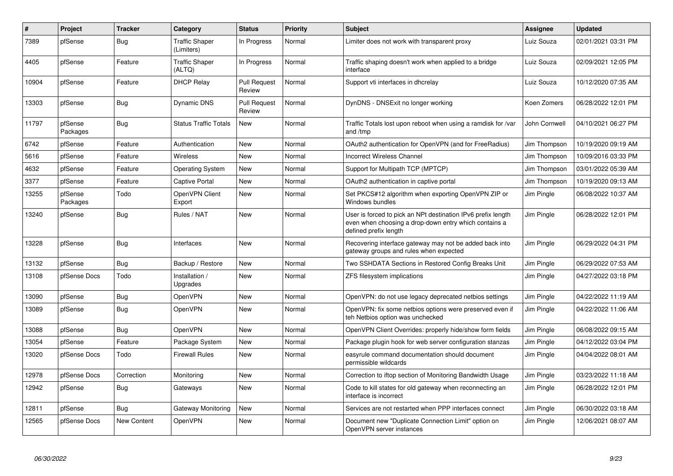| #     | Project             | <b>Tracker</b> | Category                            | <b>Status</b>                 | <b>Priority</b> | <b>Subject</b>                                                                                                                                 | Assignee      | <b>Updated</b>      |
|-------|---------------------|----------------|-------------------------------------|-------------------------------|-----------------|------------------------------------------------------------------------------------------------------------------------------------------------|---------------|---------------------|
| 7389  | pfSense             | Bug            | <b>Traffic Shaper</b><br>(Limiters) | In Progress                   | Normal          | Limiter does not work with transparent proxy                                                                                                   | Luiz Souza    | 02/01/2021 03:31 PM |
| 4405  | pfSense             | Feature        | <b>Traffic Shaper</b><br>(ALTQ)     | In Progress                   | Normal          | Traffic shaping doesn't work when applied to a bridge<br>interface                                                                             | Luiz Souza    | 02/09/2021 12:05 PM |
| 10904 | pfSense             | Feature        | <b>DHCP Relay</b>                   | <b>Pull Request</b><br>Review | Normal          | Support vti interfaces in dhcrelay                                                                                                             | Luiz Souza    | 10/12/2020 07:35 AM |
| 13303 | pfSense             | <b>Bug</b>     | <b>Dynamic DNS</b>                  | <b>Pull Request</b><br>Review | Normal          | DynDNS - DNSExit no longer working                                                                                                             | Koen Zomers   | 06/28/2022 12:01 PM |
| 11797 | pfSense<br>Packages | <b>Bug</b>     | <b>Status Traffic Totals</b>        | New                           | Normal          | Traffic Totals lost upon reboot when using a ramdisk for /var<br>and /tmp                                                                      | John Cornwell | 04/10/2021 06:27 PM |
| 6742  | pfSense             | Feature        | Authentication                      | New                           | Normal          | OAuth2 authentication for OpenVPN (and for FreeRadius)                                                                                         | Jim Thompson  | 10/19/2020 09:19 AM |
| 5616  | pfSense             | Feature        | Wireless                            | New                           | Normal          | <b>Incorrect Wireless Channel</b>                                                                                                              | Jim Thompson  | 10/09/2016 03:33 PM |
| 4632  | pfSense             | Feature        | Operating System                    | New                           | Normal          | Support for Multipath TCP (MPTCP)                                                                                                              | Jim Thompson  | 03/01/2022 05:39 AM |
| 3377  | pfSense             | Feature        | <b>Captive Portal</b>               | New                           | Normal          | OAuth2 authentication in captive portal                                                                                                        | Jim Thompson  | 10/19/2020 09:13 AM |
| 13255 | pfSense<br>Packages | Todo           | OpenVPN Client<br>Export            | New                           | Normal          | Set PKCS#12 algorithm when exporting OpenVPN ZIP or<br>Windows bundles                                                                         | Jim Pingle    | 06/08/2022 10:37 AM |
| 13240 | pfSense             | <b>Bug</b>     | Rules / NAT                         | New                           | Normal          | User is forced to pick an NPt destination IPv6 prefix length<br>even when choosing a drop-down entry which contains a<br>defined prefix length | Jim Pingle    | 06/28/2022 12:01 PM |
| 13228 | pfSense             | Bug            | Interfaces                          | New                           | Normal          | Recovering interface gateway may not be added back into<br>gateway groups and rules when expected                                              | Jim Pingle    | 06/29/2022 04:31 PM |
| 13132 | pfSense             | Bug            | Backup / Restore                    | New                           | Normal          | Two SSHDATA Sections in Restored Config Breaks Unit                                                                                            | Jim Pingle    | 06/29/2022 07:53 AM |
| 13108 | pfSense Docs        | Todo           | Installation /<br>Upgrades          | New                           | Normal          | ZFS filesystem implications                                                                                                                    | Jim Pingle    | 04/27/2022 03:18 PM |
| 13090 | pfSense             | Bug            | OpenVPN                             | New                           | Normal          | OpenVPN: do not use legacy deprecated netbios settings                                                                                         | Jim Pingle    | 04/22/2022 11:19 AM |
| 13089 | pfSense             | Bug            | <b>OpenVPN</b>                      | New                           | Normal          | OpenVPN: fix some netbios options were preserved even if<br>teh Netbios option was unchecked                                                   | Jim Pingle    | 04/22/2022 11:06 AM |
| 13088 | pfSense             | <b>Bug</b>     | OpenVPN                             | <b>New</b>                    | Normal          | OpenVPN Client Overrides: properly hide/show form fields                                                                                       | Jim Pingle    | 06/08/2022 09:15 AM |
| 13054 | pfSense             | Feature        | Package System                      | New                           | Normal          | Package plugin hook for web server configuration stanzas                                                                                       | Jim Pingle    | 04/12/2022 03:04 PM |
| 13020 | pfSense Docs        | Todo           | <b>Firewall Rules</b>               | New                           | Normal          | easyrule command documentation should document<br>permissible wildcards                                                                        | Jim Pingle    | 04/04/2022 08:01 AM |
| 12978 | pfSense Docs        | Correction     | Monitoring                          | New                           | Normal          | Correction to iftop section of Monitoring Bandwidth Usage                                                                                      | Jim Pingle    | 03/23/2022 11:18 AM |
| 12942 | pfSense             | <b>Bug</b>     | Gateways                            | New                           | Normal          | Code to kill states for old gateway when reconnecting an<br>interface is incorrect                                                             | Jim Pingle    | 06/28/2022 12:01 PM |
| 12811 | pfSense             | Bug            | Gateway Monitoring                  | New                           | Normal          | Services are not restarted when PPP interfaces connect                                                                                         | Jim Pingle    | 06/30/2022 03:18 AM |
| 12565 | pfSense Docs        | New Content    | OpenVPN                             | New                           | Normal          | Document new "Duplicate Connection Limit" option on<br>OpenVPN server instances                                                                | Jim Pingle    | 12/06/2021 08:07 AM |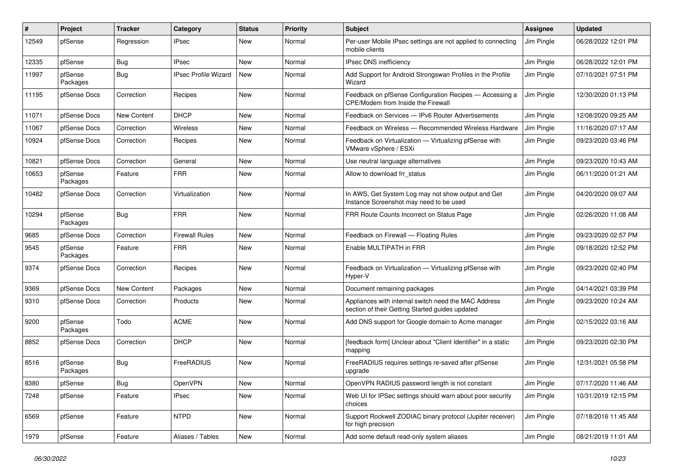| #     | Project             | <b>Tracker</b> | Category                    | <b>Status</b> | <b>Priority</b> | Subject                                                                                                 | <b>Assignee</b> | <b>Updated</b>      |
|-------|---------------------|----------------|-----------------------------|---------------|-----------------|---------------------------------------------------------------------------------------------------------|-----------------|---------------------|
| 12549 | pfSense             | Regression     | <b>IPsec</b>                | New           | Normal          | Per-user Mobile IPsec settings are not applied to connecting<br>mobile clients                          | Jim Pingle      | 06/28/2022 12:01 PM |
| 12335 | pfSense             | <b>Bug</b>     | <b>IPsec</b>                | New           | Normal          | IPsec DNS inefficiency                                                                                  | Jim Pingle      | 06/28/2022 12:01 PM |
| 11997 | pfSense<br>Packages | <b>Bug</b>     | <b>IPsec Profile Wizard</b> | New           | Normal          | Add Support for Android Strongswan Profiles in the Profile<br>Wizard                                    | Jim Pingle      | 07/10/2021 07:51 PM |
| 11195 | pfSense Docs        | Correction     | Recipes                     | New           | Normal          | Feedback on pfSense Configuration Recipes - Accessing a<br>CPE/Modem from Inside the Firewall           | Jim Pingle      | 12/30/2020 01:13 PM |
| 11071 | pfSense Docs        | New Content    | <b>DHCP</b>                 | New           | Normal          | Feedback on Services - IPv6 Router Advertisements                                                       | Jim Pingle      | 12/08/2020 09:25 AM |
| 11067 | pfSense Docs        | Correction     | Wireless                    | New           | Normal          | Feedback on Wireless - Recommended Wireless Hardware                                                    | Jim Pingle      | 11/16/2020 07:17 AM |
| 10924 | pfSense Docs        | Correction     | Recipes                     | New           | Normal          | Feedback on Virtualization - Virtualizing pfSense with<br>VMware vSphere / ESXi                         | Jim Pingle      | 09/23/2020 03:46 PM |
| 10821 | pfSense Docs        | Correction     | General                     | New           | Normal          | Use neutral language alternatives                                                                       | Jim Pingle      | 09/23/2020 10:43 AM |
| 10653 | pfSense<br>Packages | Feature        | <b>FRR</b>                  | New           | Normal          | Allow to download frr_status                                                                            | Jim Pingle      | 06/11/2020 01:21 AM |
| 10482 | pfSense Docs        | Correction     | Virtualization              | New           | Normal          | In AWS, Get System Log may not show output and Get<br>Instance Screenshot may need to be used           | Jim Pingle      | 04/20/2020 09:07 AM |
| 10294 | pfSense<br>Packages | <b>Bug</b>     | <b>FRR</b>                  | New           | Normal          | FRR Route Counts Incorrect on Status Page                                                               | Jim Pingle      | 02/26/2020 11:08 AM |
| 9685  | pfSense Docs        | Correction     | <b>Firewall Rules</b>       | New           | Normal          | Feedback on Firewall - Floating Rules                                                                   | Jim Pingle      | 09/23/2020 02:57 PM |
| 9545  | pfSense<br>Packages | Feature        | <b>FRR</b>                  | New           | Normal          | Enable MULTIPATH in FRR                                                                                 | Jim Pingle      | 09/18/2020 12:52 PM |
| 9374  | pfSense Docs        | Correction     | Recipes                     | New           | Normal          | Feedback on Virtualization - Virtualizing pfSense with<br>Hyper-V                                       | Jim Pingle      | 09/23/2020 02:40 PM |
| 9369  | pfSense Docs        | New Content    | Packages                    | New           | Normal          | Document remaining packages                                                                             | Jim Pingle      | 04/14/2021 03:39 PM |
| 9310  | pfSense Docs        | Correction     | Products                    | New           | Normal          | Appliances with internal switch need the MAC Address<br>section of their Getting Started guides updated | Jim Pingle      | 09/23/2020 10:24 AM |
| 9200  | pfSense<br>Packages | Todo           | <b>ACME</b>                 | New           | Normal          | Add DNS support for Google domain to Acme manager                                                       | Jim Pingle      | 02/15/2022 03:16 AM |
| 8852  | pfSense Docs        | Correction     | <b>DHCP</b>                 | New           | Normal          | [feedback form] Unclear about "Client Identifier" in a static<br>mapping                                | Jim Pingle      | 09/23/2020 02:30 PM |
| 8516  | pfSense<br>Packages | <b>Bug</b>     | FreeRADIUS                  | New           | Normal          | FreeRADIUS requires settings re-saved after pfSense<br>upgrade                                          | Jim Pingle      | 12/31/2021 05:58 PM |
| 8380  | pfSense             | <b>Bug</b>     | OpenVPN                     | New           | Normal          | OpenVPN RADIUS password length is not constant                                                          | Jim Pingle      | 07/17/2020 11:46 AM |
| 7248  | pfSense             | Feature        | <b>IPsec</b>                | New           | Normal          | Web UI for IPSec settings should warn about poor security<br>choices                                    | Jim Pingle      | 10/31/2019 12:15 PM |
| 6569  | pfSense             | Feature        | <b>NTPD</b>                 | New           | Normal          | Support Rockwell ZODIAC binary protocol (Jupiter receiver)<br>for high precision                        | Jim Pingle      | 07/18/2016 11:45 AM |
| 1979  | pfSense             | Feature        | Aliases / Tables            | New           | Normal          | Add some default read-only system aliases                                                               | Jim Pingle      | 08/21/2019 11:01 AM |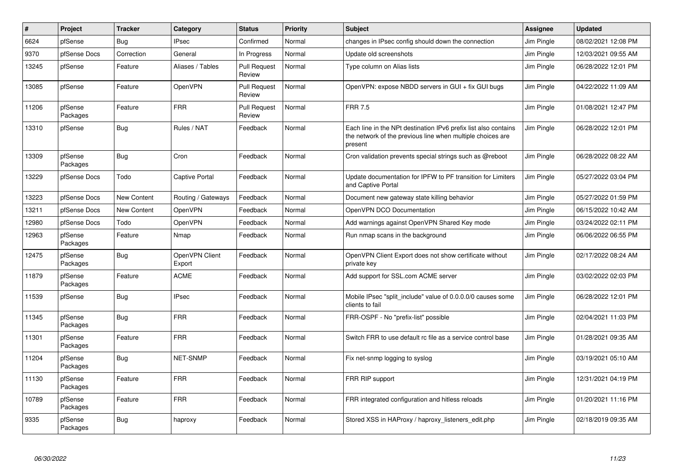| $\pmb{\#}$ | Project             | <b>Tracker</b> | Category                 | <b>Status</b>                 | <b>Priority</b> | <b>Subject</b>                                                                                                                           | <b>Assignee</b> | <b>Updated</b>      |
|------------|---------------------|----------------|--------------------------|-------------------------------|-----------------|------------------------------------------------------------------------------------------------------------------------------------------|-----------------|---------------------|
| 6624       | pfSense             | Bug            | <b>IPsec</b>             | Confirmed                     | Normal          | changes in IPsec config should down the connection                                                                                       | Jim Pingle      | 08/02/2021 12:08 PM |
| 9370       | pfSense Docs        | Correction     | General                  | In Progress                   | Normal          | Update old screenshots                                                                                                                   | Jim Pingle      | 12/03/2021 09:55 AM |
| 13245      | pfSense             | Feature        | Aliases / Tables         | <b>Pull Request</b><br>Review | Normal          | Type column on Alias lists                                                                                                               | Jim Pingle      | 06/28/2022 12:01 PM |
| 13085      | pfSense             | Feature        | OpenVPN                  | <b>Pull Request</b><br>Review | Normal          | OpenVPN: expose NBDD servers in GUI + fix GUI bugs                                                                                       | Jim Pingle      | 04/22/2022 11:09 AM |
| 11206      | pfSense<br>Packages | Feature        | <b>FRR</b>               | <b>Pull Request</b><br>Review | Normal          | <b>FRR 7.5</b>                                                                                                                           | Jim Pingle      | 01/08/2021 12:47 PM |
| 13310      | pfSense             | <b>Bug</b>     | Rules / NAT              | Feedback                      | Normal          | Each line in the NPt destination IPv6 prefix list also contains<br>the network of the previous line when multiple choices are<br>present | Jim Pingle      | 06/28/2022 12:01 PM |
| 13309      | pfSense<br>Packages | Bug            | Cron                     | Feedback                      | Normal          | Cron validation prevents special strings such as @reboot                                                                                 | Jim Pingle      | 06/28/2022 08:22 AM |
| 13229      | pfSense Docs        | Todo           | Captive Portal           | Feedback                      | Normal          | Update documentation for IPFW to PF transition for Limiters<br>and Captive Portal                                                        | Jim Pingle      | 05/27/2022 03:04 PM |
| 13223      | pfSense Docs        | New Content    | Routing / Gateways       | Feedback                      | Normal          | Document new gateway state killing behavior                                                                                              | Jim Pingle      | 05/27/2022 01:59 PM |
| 13211      | pfSense Docs        | New Content    | OpenVPN                  | Feedback                      | Normal          | OpenVPN DCO Documentation                                                                                                                | Jim Pingle      | 06/15/2022 10:42 AM |
| 12980      | pfSense Docs        | Todo           | OpenVPN                  | Feedback                      | Normal          | Add warnings against OpenVPN Shared Key mode                                                                                             | Jim Pingle      | 03/24/2022 02:11 PM |
| 12963      | pfSense<br>Packages | Feature        | Nmap                     | Feedback                      | Normal          | Run nmap scans in the background                                                                                                         | Jim Pingle      | 06/06/2022 06:55 PM |
| 12475      | pfSense<br>Packages | Bug            | OpenVPN Client<br>Export | Feedback                      | Normal          | OpenVPN Client Export does not show certificate without<br>private key                                                                   | Jim Pingle      | 02/17/2022 08:24 AM |
| 11879      | pfSense<br>Packages | Feature        | <b>ACME</b>              | Feedback                      | Normal          | Add support for SSL.com ACME server                                                                                                      | Jim Pingle      | 03/02/2022 02:03 PM |
| 11539      | pfSense             | Bug            | <b>IPsec</b>             | Feedback                      | Normal          | Mobile IPsec "split include" value of 0.0.0.0/0 causes some<br>clients to fail                                                           | Jim Pingle      | 06/28/2022 12:01 PM |
| 11345      | pfSense<br>Packages | <b>Bug</b>     | <b>FRR</b>               | Feedback                      | Normal          | FRR-OSPF - No "prefix-list" possible                                                                                                     | Jim Pingle      | 02/04/2021 11:03 PM |
| 11301      | pfSense<br>Packages | Feature        | <b>FRR</b>               | Feedback                      | Normal          | Switch FRR to use default rc file as a service control base                                                                              | Jim Pingle      | 01/28/2021 09:35 AM |
| 11204      | pfSense<br>Packages | Bug            | <b>NET-SNMP</b>          | Feedback                      | Normal          | Fix net-snmp logging to syslog                                                                                                           | Jim Pingle      | 03/19/2021 05:10 AM |
| 11130      | pfSense<br>Packages | Feature        | <b>FRR</b>               | Feedback                      | Normal          | FRR RIP support                                                                                                                          | Jim Pingle      | 12/31/2021 04:19 PM |
| 10789      | pfSense<br>Packages | Feature        | <b>FRR</b>               | Feedback                      | Normal          | FRR integrated configuration and hitless reloads                                                                                         | Jim Pingle      | 01/20/2021 11:16 PM |
| 9335       | pfSense<br>Packages | Bug            | haproxy                  | Feedback                      | Normal          | Stored XSS in HAProxy / haproxy listeners edit.php                                                                                       | Jim Pingle      | 02/18/2019 09:35 AM |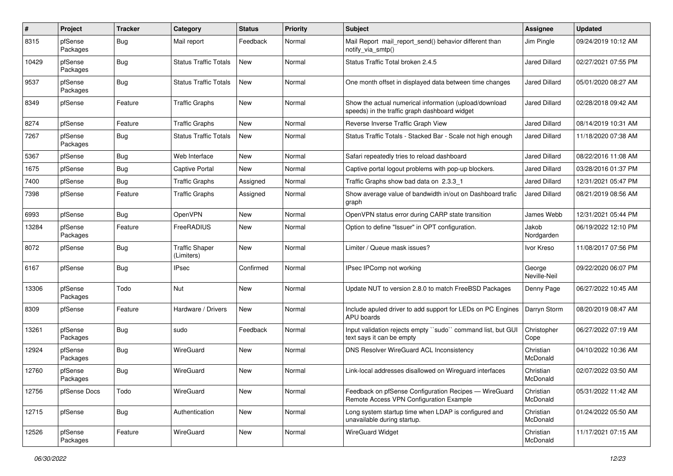| ∦     | Project             | <b>Tracker</b> | Category                            | <b>Status</b> | <b>Priority</b> | <b>Subject</b>                                                                                          | <b>Assignee</b>        | <b>Updated</b>      |
|-------|---------------------|----------------|-------------------------------------|---------------|-----------------|---------------------------------------------------------------------------------------------------------|------------------------|---------------------|
| 8315  | pfSense<br>Packages | <b>Bug</b>     | Mail report                         | Feedback      | Normal          | Mail Report mail report send() behavior different than<br>notify_via_smtp()                             | Jim Pingle             | 09/24/2019 10:12 AM |
| 10429 | pfSense<br>Packages | <b>Bug</b>     | <b>Status Traffic Totals</b>        | New           | Normal          | Status Traffic Total broken 2.4.5                                                                       | <b>Jared Dillard</b>   | 02/27/2021 07:55 PM |
| 9537  | pfSense<br>Packages | <b>Bug</b>     | <b>Status Traffic Totals</b>        | New           | Normal          | One month offset in displayed data between time changes                                                 | <b>Jared Dillard</b>   | 05/01/2020 08:27 AM |
| 8349  | pfSense             | Feature        | <b>Traffic Graphs</b>               | New           | Normal          | Show the actual numerical information (upload/download<br>speeds) in the traffic graph dashboard widget | <b>Jared Dillard</b>   | 02/28/2018 09:42 AM |
| 8274  | pfSense             | Feature        | <b>Traffic Graphs</b>               | New           | Normal          | Reverse Inverse Traffic Graph View                                                                      | Jared Dillard          | 08/14/2019 10:31 AM |
| 7267  | pfSense<br>Packages | <b>Bug</b>     | <b>Status Traffic Totals</b>        | New           | Normal          | Status Traffic Totals - Stacked Bar - Scale not high enough                                             | <b>Jared Dillard</b>   | 11/18/2020 07:38 AM |
| 5367  | pfSense             | <b>Bug</b>     | Web Interface                       | New           | Normal          | Safari repeatedly tries to reload dashboard                                                             | <b>Jared Dillard</b>   | 08/22/2016 11:08 AM |
| 1675  | pfSense             | Bug            | Captive Portal                      | New           | Normal          | Captive portal logout problems with pop-up blockers.                                                    | <b>Jared Dillard</b>   | 03/28/2016 01:37 PM |
| 7400  | pfSense             | Bug            | <b>Traffic Graphs</b>               | Assigned      | Normal          | Traffic Graphs show bad data on 2.3.3 1                                                                 | <b>Jared Dillard</b>   | 12/31/2021 05:47 PM |
| 7398  | pfSense             | Feature        | <b>Traffic Graphs</b>               | Assigned      | Normal          | Show average value of bandwidth in/out on Dashboard trafic<br>graph                                     | <b>Jared Dillard</b>   | 08/21/2019 08:56 AM |
| 6993  | pfSense             | Bug            | OpenVPN                             | New           | Normal          | OpenVPN status error during CARP state transition                                                       | James Webb             | 12/31/2021 05:44 PM |
| 13284 | pfSense<br>Packages | Feature        | FreeRADIUS                          | New           | Normal          | Option to define "Issuer" in OPT configuration.                                                         | Jakob<br>Nordgarden    | 06/19/2022 12:10 PM |
| 8072  | pfSense             | <b>Bug</b>     | <b>Traffic Shaper</b><br>(Limiters) | New           | Normal          | Limiter / Queue mask issues?                                                                            | Ivor Kreso             | 11/08/2017 07:56 PM |
| 6167  | pfSense             | <b>Bug</b>     | IPsec                               | Confirmed     | Normal          | IPsec IPComp not working                                                                                | George<br>Neville-Neil | 09/22/2020 06:07 PM |
| 13306 | pfSense<br>Packages | Todo           | Nut                                 | New           | Normal          | Update NUT to version 2.8.0 to match FreeBSD Packages                                                   | Denny Page             | 06/27/2022 10:45 AM |
| 8309  | pfSense             | Feature        | Hardware / Drivers                  | New           | Normal          | Include apuled driver to add support for LEDs on PC Engines<br>APU boards                               | Darryn Storm           | 08/20/2019 08:47 AM |
| 13261 | pfSense<br>Packages | Bug            | sudo                                | Feedback      | Normal          | Input validation rejects empty "sudo" command list, but GUI<br>text says it can be empty                | Christopher<br>Cope    | 06/27/2022 07:19 AM |
| 12924 | pfSense<br>Packages | <b>Bug</b>     | WireGuard                           | New           | Normal          | DNS Resolver WireGuard ACL Inconsistency                                                                | Christian<br>McDonald  | 04/10/2022 10:36 AM |
| 12760 | pfSense<br>Packages | <b>Bug</b>     | WireGuard                           | <b>New</b>    | Normal          | Link-local addresses disallowed on Wireguard interfaces                                                 | Christian<br>McDonald  | 02/07/2022 03:50 AM |
| 12756 | pfSense Docs        | Todo           | WireGuard                           | New           | Normal          | Feedback on pfSense Configuration Recipes - WireGuard<br>Remote Access VPN Configuration Example        | Christian<br>McDonald  | 05/31/2022 11:42 AM |
| 12715 | pfSense             | Bug            | Authentication                      | New           | Normal          | Long system startup time when LDAP is configured and<br>unavailable during startup.                     | Christian<br>McDonald  | 01/24/2022 05:50 AM |
| 12526 | pfSense<br>Packages | Feature        | WireGuard                           | New           | Normal          | WireGuard Widget                                                                                        | Christian<br>McDonald  | 11/17/2021 07:15 AM |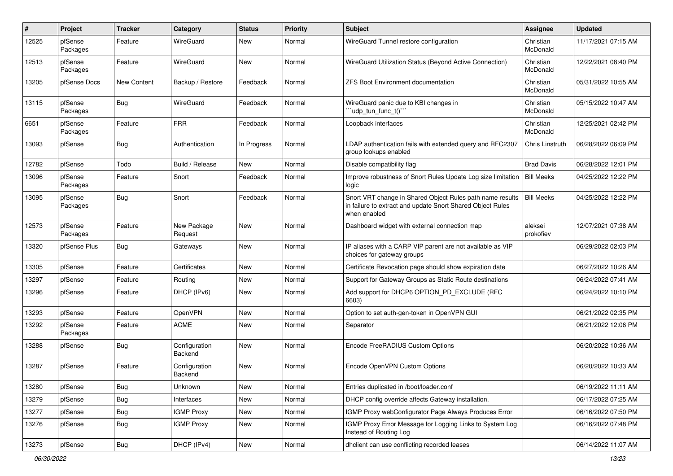| #     | Project             | <b>Tracker</b> | Category                 | <b>Status</b> | <b>Priority</b> | <b>Subject</b>                                                                                                                          | Assignee              | <b>Updated</b>      |
|-------|---------------------|----------------|--------------------------|---------------|-----------------|-----------------------------------------------------------------------------------------------------------------------------------------|-----------------------|---------------------|
| 12525 | pfSense<br>Packages | Feature        | WireGuard                | New           | Normal          | WireGuard Tunnel restore configuration                                                                                                  | Christian<br>McDonald | 11/17/2021 07:15 AM |
| 12513 | pfSense<br>Packages | Feature        | WireGuard                | New           | Normal          | WireGuard Utilization Status (Beyond Active Connection)                                                                                 | Christian<br>McDonald | 12/22/2021 08:40 PM |
| 13205 | pfSense Docs        | New Content    | Backup / Restore         | Feedback      | Normal          | <b>ZFS Boot Environment documentation</b>                                                                                               | Christian<br>McDonald | 05/31/2022 10:55 AM |
| 13115 | pfSense<br>Packages | Bug            | WireGuard                | Feedback      | Normal          | WireGuard panic due to KBI changes in<br>"udp tun func t()"                                                                             | Christian<br>McDonald | 05/15/2022 10:47 AM |
| 6651  | pfSense<br>Packages | Feature        | <b>FRR</b>               | Feedback      | Normal          | Loopback interfaces                                                                                                                     | Christian<br>McDonald | 12/25/2021 02:42 PM |
| 13093 | pfSense             | Bug            | Authentication           | In Progress   | Normal          | LDAP authentication fails with extended query and RFC2307<br>group lookups enabled                                                      | Chris Linstruth       | 06/28/2022 06:09 PM |
| 12782 | pfSense             | Todo           | Build / Release          | New           | Normal          | Disable compatibility flag                                                                                                              | <b>Brad Davis</b>     | 06/28/2022 12:01 PM |
| 13096 | pfSense<br>Packages | Feature        | Snort                    | Feedback      | Normal          | Improve robustness of Snort Rules Update Log size limitation<br>logic                                                                   | <b>Bill Meeks</b>     | 04/25/2022 12:22 PM |
| 13095 | pfSense<br>Packages | <b>Bug</b>     | Snort                    | Feedback      | Normal          | Snort VRT change in Shared Object Rules path name results<br>in failure to extract and update Snort Shared Object Rules<br>when enabled | <b>Bill Meeks</b>     | 04/25/2022 12:22 PM |
| 12573 | pfSense<br>Packages | Feature        | New Package<br>Request   | New           | Normal          | Dashboard widget with external connection map                                                                                           | aleksei<br>prokofiev  | 12/07/2021 07:38 AM |
| 13320 | pfSense Plus        | Bug            | Gateways                 | New           | Normal          | IP aliases with a CARP VIP parent are not available as VIP<br>choices for gateway groups                                                |                       | 06/29/2022 02:03 PM |
| 13305 | pfSense             | Feature        | Certificates             | New           | Normal          | Certificate Revocation page should show expiration date                                                                                 |                       | 06/27/2022 10:26 AM |
| 13297 | pfSense             | Feature        | Routing                  | New           | Normal          | Support for Gateway Groups as Static Route destinations                                                                                 |                       | 06/24/2022 07:41 AM |
| 13296 | pfSense             | Feature        | DHCP (IPv6)              | New           | Normal          | Add support for DHCP6 OPTION_PD_EXCLUDE (RFC<br>6603)                                                                                   |                       | 06/24/2022 10:10 PM |
| 13293 | pfSense             | Feature        | OpenVPN                  | New           | Normal          | Option to set auth-gen-token in OpenVPN GUI                                                                                             |                       | 06/21/2022 02:35 PM |
| 13292 | pfSense<br>Packages | Feature        | <b>ACME</b>              | New           | Normal          | Separator                                                                                                                               |                       | 06/21/2022 12:06 PM |
| 13288 | pfSense             | Bug            | Configuration<br>Backend | New           | Normal          | Encode FreeRADIUS Custom Options                                                                                                        |                       | 06/20/2022 10:36 AM |
| 13287 | pfSense             | Feature        | Configuration<br>Backend | New           | Normal          | Encode OpenVPN Custom Options                                                                                                           |                       | 06/20/2022 10:33 AM |
| 13280 | pfSense             | <b>Bug</b>     | Unknown                  | New           | Normal          | Entries duplicated in /boot/loader.conf                                                                                                 |                       | 06/19/2022 11:11 AM |
| 13279 | pfSense             | Bug            | Interfaces               | New           | Normal          | DHCP config override affects Gateway installation.                                                                                      |                       | 06/17/2022 07:25 AM |
| 13277 | pfSense             | <b>Bug</b>     | <b>IGMP Proxy</b>        | New           | Normal          | IGMP Proxy webConfigurator Page Always Produces Error                                                                                   |                       | 06/16/2022 07:50 PM |
| 13276 | pfSense             | <b>Bug</b>     | <b>IGMP Proxy</b>        | New           | Normal          | IGMP Proxy Error Message for Logging Links to System Log<br>Instead of Routing Log                                                      |                       | 06/16/2022 07:48 PM |
| 13273 | pfSense             | Bug            | DHCP (IPv4)              | New           | Normal          | dhclient can use conflicting recorded leases                                                                                            |                       | 06/14/2022 11:07 AM |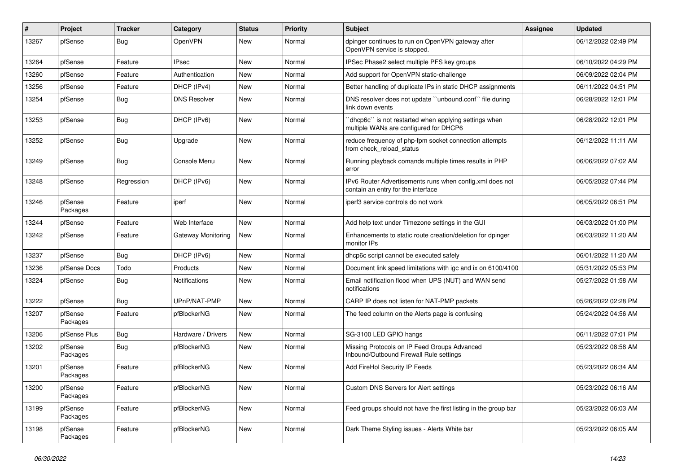| #     | Project             | <b>Tracker</b> | Category             | <b>Status</b> | <b>Priority</b> | <b>Subject</b>                                                                                  | Assignee | <b>Updated</b>      |
|-------|---------------------|----------------|----------------------|---------------|-----------------|-------------------------------------------------------------------------------------------------|----------|---------------------|
| 13267 | pfSense             | <b>Bug</b>     | OpenVPN              | New           | Normal          | dpinger continues to run on OpenVPN gateway after<br>OpenVPN service is stopped.                |          | 06/12/2022 02:49 PM |
| 13264 | pfSense             | Feature        | <b>IPsec</b>         | New           | Normal          | IPSec Phase2 select multiple PFS key groups                                                     |          | 06/10/2022 04:29 PM |
| 13260 | pfSense             | Feature        | Authentication       | New           | Normal          | Add support for OpenVPN static-challenge                                                        |          | 06/09/2022 02:04 PM |
| 13256 | pfSense             | Feature        | DHCP (IPv4)          | New           | Normal          | Better handling of duplicate IPs in static DHCP assignments                                     |          | 06/11/2022 04:51 PM |
| 13254 | pfSense             | <b>Bug</b>     | <b>DNS Resolver</b>  | New           | Normal          | DNS resolver does not update "unbound.conf" file during<br>link down events                     |          | 06/28/2022 12:01 PM |
| 13253 | pfSense             | <b>Bug</b>     | DHCP (IPv6)          | <b>New</b>    | Normal          | 'dhcp6c' is not restarted when applying settings when<br>multiple WANs are configured for DHCP6 |          | 06/28/2022 12:01 PM |
| 13252 | pfSense             | <b>Bug</b>     | Upgrade              | New           | Normal          | reduce frequency of php-fpm socket connection attempts<br>from check_reload_status              |          | 06/12/2022 11:11 AM |
| 13249 | pfSense             | <b>Bug</b>     | Console Menu         | New           | Normal          | Running playback comands multiple times results in PHP<br>error                                 |          | 06/06/2022 07:02 AM |
| 13248 | pfSense             | Regression     | DHCP (IPv6)          | New           | Normal          | IPv6 Router Advertisements runs when config.xml does not<br>contain an entry for the interface  |          | 06/05/2022 07:44 PM |
| 13246 | pfSense<br>Packages | Feature        | iperf                | New           | Normal          | iperf3 service controls do not work                                                             |          | 06/05/2022 06:51 PM |
| 13244 | pfSense             | Feature        | Web Interface        | New           | Normal          | Add help text under Timezone settings in the GUI                                                |          | 06/03/2022 01:00 PM |
| 13242 | pfSense             | Feature        | Gateway Monitoring   | New           | Normal          | Enhancements to static route creation/deletion for dpinger<br>monitor IPs                       |          | 06/03/2022 11:20 AM |
| 13237 | pfSense             | <b>Bug</b>     | DHCP (IPv6)          | New           | Normal          | dhcp6c script cannot be executed safely                                                         |          | 06/01/2022 11:20 AM |
| 13236 | pfSense Docs        | Todo           | Products             | New           | Normal          | Document link speed limitations with igc and ix on 6100/4100                                    |          | 05/31/2022 05:53 PM |
| 13224 | pfSense             | Bug            | <b>Notifications</b> | New           | Normal          | Email notification flood when UPS (NUT) and WAN send<br>notifications                           |          | 05/27/2022 01:58 AM |
| 13222 | pfSense             | Bug            | UPnP/NAT-PMP         | New           | Normal          | CARP IP does not listen for NAT-PMP packets                                                     |          | 05/26/2022 02:28 PM |
| 13207 | pfSense<br>Packages | Feature        | pfBlockerNG          | New           | Normal          | The feed column on the Alerts page is confusing                                                 |          | 05/24/2022 04:56 AM |
| 13206 | pfSense Plus        | <b>Bug</b>     | Hardware / Drivers   | New           | Normal          | SG-3100 LED GPIO hangs                                                                          |          | 06/11/2022 07:01 PM |
| 13202 | pfSense<br>Packages | <b>Bug</b>     | pfBlockerNG          | New           | Normal          | Missing Protocols on IP Feed Groups Advanced<br>Inbound/Outbound Firewall Rule settings         |          | 05/23/2022 08:58 AM |
| 13201 | pfSense<br>Packages | Feature        | pfBlockerNG          | New           | Normal          | Add FireHol Security IP Feeds                                                                   |          | 05/23/2022 06:34 AM |
| 13200 | pfSense<br>Packages | Feature        | pfBlockerNG          | New           | Normal          | Custom DNS Servers for Alert settings                                                           |          | 05/23/2022 06:16 AM |
| 13199 | pfSense<br>Packages | Feature        | pfBlockerNG          | New           | Normal          | Feed groups should not have the first listing in the group bar                                  |          | 05/23/2022 06:03 AM |
| 13198 | pfSense<br>Packages | Feature        | pfBlockerNG          | New           | Normal          | Dark Theme Styling issues - Alerts White bar                                                    |          | 05/23/2022 06:05 AM |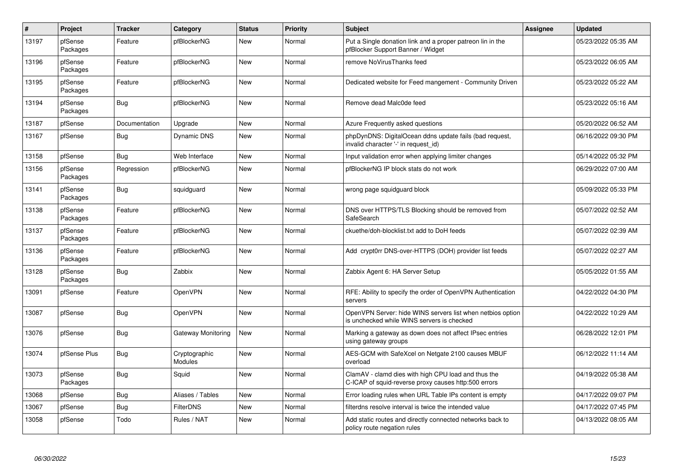| $\vert$ # | Project             | <b>Tracker</b> | Category                 | <b>Status</b> | <b>Priority</b> | <b>Subject</b>                                                                                              | Assignee | <b>Updated</b>      |
|-----------|---------------------|----------------|--------------------------|---------------|-----------------|-------------------------------------------------------------------------------------------------------------|----------|---------------------|
| 13197     | pfSense<br>Packages | Feature        | pfBlockerNG              | New           | Normal          | Put a Single donation link and a proper patreon lin in the<br>pfBlocker Support Banner / Widget             |          | 05/23/2022 05:35 AM |
| 13196     | pfSense<br>Packages | Feature        | pfBlockerNG              | New           | Normal          | remove NoVirusThanks feed                                                                                   |          | 05/23/2022 06:05 AM |
| 13195     | pfSense<br>Packages | Feature        | pfBlockerNG              | New           | Normal          | Dedicated website for Feed mangement - Community Driven                                                     |          | 05/23/2022 05:22 AM |
| 13194     | pfSense<br>Packages | Bug            | pfBlockerNG              | New           | Normal          | Remove dead Malc0de feed                                                                                    |          | 05/23/2022 05:16 AM |
| 13187     | pfSense             | Documentation  | Upgrade                  | New           | Normal          | Azure Frequently asked questions                                                                            |          | 05/20/2022 06:52 AM |
| 13167     | pfSense             | <b>Bug</b>     | Dynamic DNS              | New           | Normal          | phpDynDNS: DigitalOcean ddns update fails (bad request,<br>invalid character '-' in request id)             |          | 06/16/2022 09:30 PM |
| 13158     | pfSense             | Bug            | Web Interface            | New           | Normal          | Input validation error when applying limiter changes                                                        |          | 05/14/2022 05:32 PM |
| 13156     | pfSense<br>Packages | Regression     | pfBlockerNG              | New           | Normal          | pfBlockerNG IP block stats do not work                                                                      |          | 06/29/2022 07:00 AM |
| 13141     | pfSense<br>Packages | <b>Bug</b>     | squidguard               | New           | Normal          | wrong page squidguard block                                                                                 |          | 05/09/2022 05:33 PM |
| 13138     | pfSense<br>Packages | Feature        | pfBlockerNG              | New           | Normal          | DNS over HTTPS/TLS Blocking should be removed from<br>SafeSearch                                            |          | 05/07/2022 02:52 AM |
| 13137     | pfSense<br>Packages | Feature        | pfBlockerNG              | New           | Normal          | ckuethe/doh-blocklist.txt add to DoH feeds                                                                  |          | 05/07/2022 02:39 AM |
| 13136     | pfSense<br>Packages | Feature        | pfBlockerNG              | New           | Normal          | Add crypt0rr DNS-over-HTTPS (DOH) provider list feeds                                                       |          | 05/07/2022 02:27 AM |
| 13128     | pfSense<br>Packages | <b>Bug</b>     | Zabbix                   | <b>New</b>    | Normal          | Zabbix Agent 6: HA Server Setup                                                                             |          | 05/05/2022 01:55 AM |
| 13091     | pfSense             | Feature        | <b>OpenVPN</b>           | <b>New</b>    | Normal          | RFE: Ability to specify the order of OpenVPN Authentication<br>servers                                      |          | 04/22/2022 04:30 PM |
| 13087     | pfSense             | Bug            | OpenVPN                  | <b>New</b>    | Normal          | OpenVPN Server: hide WINS servers list when netbios option<br>is unchecked while WINS servers is checked    |          | 04/22/2022 10:29 AM |
| 13076     | pfSense             | <b>Bug</b>     | Gateway Monitoring       | New           | Normal          | Marking a gateway as down does not affect IPsec entries<br>using gateway groups                             |          | 06/28/2022 12:01 PM |
| 13074     | pfSense Plus        | <b>Bug</b>     | Cryptographic<br>Modules | New           | Normal          | AES-GCM with SafeXcel on Netgate 2100 causes MBUF<br>overload                                               |          | 06/12/2022 11:14 AM |
| 13073     | pfSense<br>Packages | Bug            | Squid                    | <b>New</b>    | Normal          | ClamAV - clamd dies with high CPU load and thus the<br>C-ICAP of squid-reverse proxy causes http:500 errors |          | 04/19/2022 05:38 AM |
| 13068     | pfSense             | Bug            | Aliases / Tables         | New           | Normal          | Error loading rules when URL Table IPs content is empty                                                     |          | 04/17/2022 09:07 PM |
| 13067     | pfSense             | Bug            | <b>FilterDNS</b>         | <b>New</b>    | Normal          | filterdns resolve interval is twice the intended value                                                      |          | 04/17/2022 07:45 PM |
| 13058     | pfSense             | Todo           | Rules / NAT              | New           | Normal          | Add static routes and directly connected networks back to<br>policy route negation rules                    |          | 04/13/2022 08:05 AM |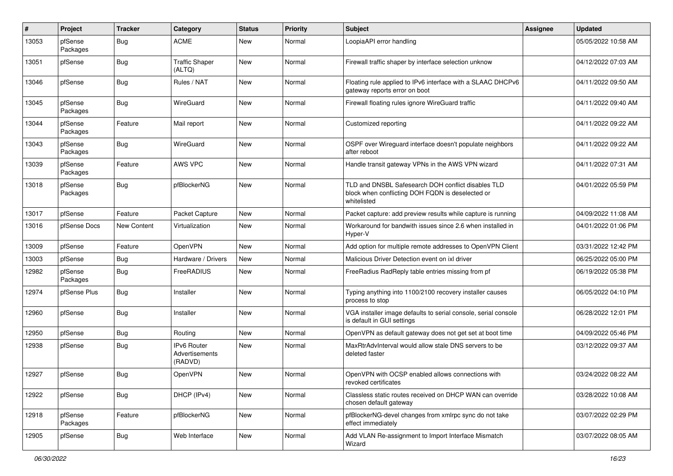| #     | Project             | <b>Tracker</b>     | Category                                        | <b>Status</b> | Priority | <b>Subject</b>                                                                                                        | Assignee | <b>Updated</b>      |
|-------|---------------------|--------------------|-------------------------------------------------|---------------|----------|-----------------------------------------------------------------------------------------------------------------------|----------|---------------------|
| 13053 | pfSense<br>Packages | <b>Bug</b>         | <b>ACME</b>                                     | New           | Normal   | LoopiaAPI error handling                                                                                              |          | 05/05/2022 10:58 AM |
| 13051 | pfSense             | Bug                | <b>Traffic Shaper</b><br>(ALTQ)                 | New           | Normal   | Firewall traffic shaper by interface selection unknow                                                                 |          | 04/12/2022 07:03 AM |
| 13046 | pfSense             | <b>Bug</b>         | Rules / NAT                                     | New           | Normal   | Floating rule applied to IPv6 interface with a SLAAC DHCPv6<br>gateway reports error on boot                          |          | 04/11/2022 09:50 AM |
| 13045 | pfSense<br>Packages | Bug                | WireGuard                                       | New           | Normal   | Firewall floating rules ignore WireGuard traffic                                                                      |          | 04/11/2022 09:40 AM |
| 13044 | pfSense<br>Packages | Feature            | Mail report                                     | New           | Normal   | Customized reporting                                                                                                  |          | 04/11/2022 09:22 AM |
| 13043 | pfSense<br>Packages | Bug                | WireGuard                                       | New           | Normal   | OSPF over Wireguard interface doesn't populate neighbors<br>after reboot                                              |          | 04/11/2022 09:22 AM |
| 13039 | pfSense<br>Packages | Feature            | AWS VPC                                         | New           | Normal   | Handle transit gateway VPNs in the AWS VPN wizard                                                                     |          | 04/11/2022 07:31 AM |
| 13018 | pfSense<br>Packages | <b>Bug</b>         | pfBlockerNG                                     | New           | Normal   | TLD and DNSBL Safesearch DOH conflict disables TLD<br>block when conflicting DOH FQDN is deselected or<br>whitelisted |          | 04/01/2022 05:59 PM |
| 13017 | pfSense             | Feature            | Packet Capture                                  | New           | Normal   | Packet capture: add preview results while capture is running                                                          |          | 04/09/2022 11:08 AM |
| 13016 | pfSense Docs        | <b>New Content</b> | Virtualization                                  | New           | Normal   | Workaround for bandwith issues since 2.6 when installed in<br>Hyper-V                                                 |          | 04/01/2022 01:06 PM |
| 13009 | pfSense             | Feature            | OpenVPN                                         | New           | Normal   | Add option for multiple remote addresses to OpenVPN Client                                                            |          | 03/31/2022 12:42 PM |
| 13003 | pfSense             | <b>Bug</b>         | Hardware / Drivers                              | New           | Normal   | Malicious Driver Detection event on ixl driver                                                                        |          | 06/25/2022 05:00 PM |
| 12982 | pfSense<br>Packages | <b>Bug</b>         | FreeRADIUS                                      | New           | Normal   | FreeRadius RadReply table entries missing from pf                                                                     |          | 06/19/2022 05:38 PM |
| 12974 | pfSense Plus        | Bug                | Installer                                       | New           | Normal   | Typing anything into 1100/2100 recovery installer causes<br>process to stop                                           |          | 06/05/2022 04:10 PM |
| 12960 | pfSense             | <b>Bug</b>         | Installer                                       | New           | Normal   | VGA installer image defaults to serial console, serial console<br>is default in GUI settings                          |          | 06/28/2022 12:01 PM |
| 12950 | pfSense             | Bug                | Routing                                         | New           | Normal   | OpenVPN as default gateway does not get set at boot time                                                              |          | 04/09/2022 05:46 PM |
| 12938 | pfSense             | <b>Bug</b>         | <b>IPv6 Router</b><br>Advertisements<br>(RADVD) | New           | Normal   | MaxRtrAdvInterval would allow stale DNS servers to be<br>deleted faster                                               |          | 03/12/2022 09:37 AM |
| 12927 | pfSense             | <b>Bug</b>         | OpenVPN                                         | <b>New</b>    | Normal   | OpenVPN with OCSP enabled allows connections with<br>revoked certificates                                             |          | 03/24/2022 08:22 AM |
| 12922 | pfSense             | <b>Bug</b>         | DHCP (IPv4)                                     | New           | Normal   | Classless static routes received on DHCP WAN can override<br>chosen default gateway                                   |          | 03/28/2022 10:08 AM |
| 12918 | pfSense<br>Packages | Feature            | pfBlockerNG                                     | New           | Normal   | pfBlockerNG-devel changes from xmlrpc sync do not take<br>effect immediately                                          |          | 03/07/2022 02:29 PM |
| 12905 | pfSense             | <b>Bug</b>         | Web Interface                                   | New           | Normal   | Add VLAN Re-assignment to Import Interface Mismatch<br>Wizard                                                         |          | 03/07/2022 08:05 AM |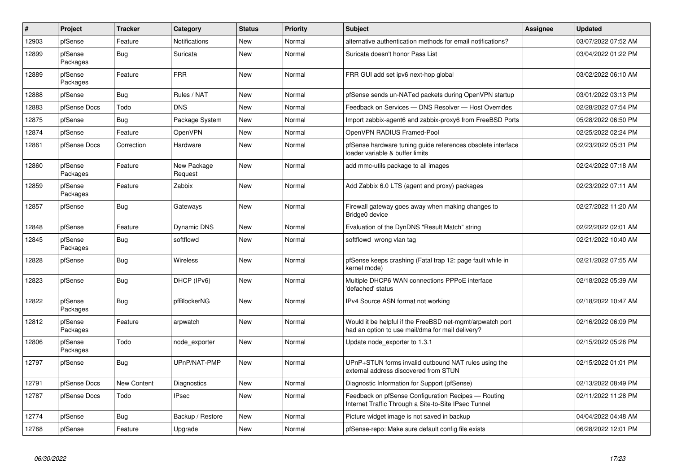| $\pmb{\#}$ | Project             | <b>Tracker</b>     | Category               | <b>Status</b> | Priority | <b>Subject</b>                                                                                                | Assignee | <b>Updated</b>      |
|------------|---------------------|--------------------|------------------------|---------------|----------|---------------------------------------------------------------------------------------------------------------|----------|---------------------|
| 12903      | pfSense             | Feature            | Notifications          | New           | Normal   | alternative authentication methods for email notifications?                                                   |          | 03/07/2022 07:52 AM |
| 12899      | pfSense<br>Packages | <b>Bug</b>         | Suricata               | <b>New</b>    | Normal   | Suricata doesn't honor Pass List                                                                              |          | 03/04/2022 01:22 PM |
| 12889      | pfSense<br>Packages | Feature            | <b>FRR</b>             | <b>New</b>    | Normal   | FRR GUI add set ipv6 next-hop global                                                                          |          | 03/02/2022 06:10 AM |
| 12888      | pfSense             | Bug                | Rules / NAT            | <b>New</b>    | Normal   | pfSense sends un-NATed packets during OpenVPN startup                                                         |          | 03/01/2022 03:13 PM |
| 12883      | pfSense Docs        | Todo               | <b>DNS</b>             | <b>New</b>    | Normal   | Feedback on Services - DNS Resolver - Host Overrides                                                          |          | 02/28/2022 07:54 PM |
| 12875      | pfSense             | Bug                | Package System         | New           | Normal   | Import zabbix-agent6 and zabbix-proxy6 from FreeBSD Ports                                                     |          | 05/28/2022 06:50 PM |
| 12874      | pfSense             | Feature            | OpenVPN                | <b>New</b>    | Normal   | OpenVPN RADIUS Framed-Pool                                                                                    |          | 02/25/2022 02:24 PM |
| 12861      | pfSense Docs        | Correction         | Hardware               | New           | Normal   | pfSense hardware tuning guide references obsolete interface<br>loader variable & buffer limits                |          | 02/23/2022 05:31 PM |
| 12860      | pfSense<br>Packages | Feature            | New Package<br>Request | New           | Normal   | add mmc-utils package to all images                                                                           |          | 02/24/2022 07:18 AM |
| 12859      | pfSense<br>Packages | Feature            | Zabbix                 | New           | Normal   | Add Zabbix 6.0 LTS (agent and proxy) packages                                                                 |          | 02/23/2022 07:11 AM |
| 12857      | pfSense             | Bug                | Gateways               | <b>New</b>    | Normal   | Firewall gateway goes away when making changes to<br>Bridge0 device                                           |          | 02/27/2022 11:20 AM |
| 12848      | pfSense             | Feature            | Dynamic DNS            | <b>New</b>    | Normal   | Evaluation of the DynDNS "Result Match" string                                                                |          | 02/22/2022 02:01 AM |
| 12845      | pfSense<br>Packages | Bug                | softflowd              | New           | Normal   | softflowd wrong vlan tag                                                                                      |          | 02/21/2022 10:40 AM |
| 12828      | pfSense             | Bug                | <b>Wireless</b>        | New           | Normal   | pfSense keeps crashing (Fatal trap 12: page fault while in<br>kernel mode)                                    |          | 02/21/2022 07:55 AM |
| 12823      | pfSense             | Bug                | DHCP (IPv6)            | New           | Normal   | Multiple DHCP6 WAN connections PPPoE interface<br>'defached' status                                           |          | 02/18/2022 05:39 AM |
| 12822      | pfSense<br>Packages | Bug                | pfBlockerNG            | New           | Normal   | IPv4 Source ASN format not working                                                                            |          | 02/18/2022 10:47 AM |
| 12812      | pfSense<br>Packages | Feature            | arpwatch               | <b>New</b>    | Normal   | Would it be helpful if the FreeBSD net-mgmt/arpwatch port<br>had an option to use mail/dma for mail delivery? |          | 02/16/2022 06:09 PM |
| 12806      | pfSense<br>Packages | Todo               | node_exporter          | New           | Normal   | Update node_exporter to 1.3.1                                                                                 |          | 02/15/2022 05:26 PM |
| 12797      | pfSense             | <b>Bug</b>         | UPnP/NAT-PMP           | <b>New</b>    | Normal   | UPnP+STUN forms invalid outbound NAT rules using the<br>external address discovered from STUN                 |          | 02/15/2022 01:01 PM |
| 12791      | pfSense Docs        | <b>New Content</b> | Diagnostics            | <b>New</b>    | Normal   | Diagnostic Information for Support (pfSense)                                                                  |          | 02/13/2022 08:49 PM |
| 12787      | pfSense Docs        | Todo               | <b>IPsec</b>           | New           | Normal   | Feedback on pfSense Configuration Recipes - Routing<br>Internet Traffic Through a Site-to-Site IPsec Tunnel   |          | 02/11/2022 11:28 PM |
| 12774      | pfSense             | Bug                | Backup / Restore       | New           | Normal   | Picture widget image is not saved in backup                                                                   |          | 04/04/2022 04:48 AM |
| 12768      | pfSense             | Feature            | Upgrade                | New           | Normal   | pfSense-repo: Make sure default config file exists                                                            |          | 06/28/2022 12:01 PM |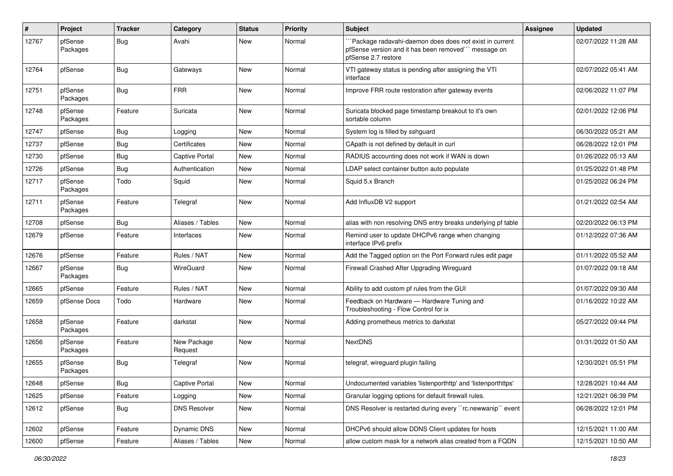| #     | Project             | <b>Tracker</b> | Category               | <b>Status</b> | <b>Priority</b> | Subject                                                                                                                               | Assignee | <b>Updated</b>      |
|-------|---------------------|----------------|------------------------|---------------|-----------------|---------------------------------------------------------------------------------------------------------------------------------------|----------|---------------------|
| 12767 | pfSense<br>Packages | <b>Bug</b>     | Avahi                  | New           | Normal          | Package radavahi-daemon does does not exist in current<br>pfSense version and it has been removed"" message on<br>pfSense 2.7 restore |          | 02/07/2022 11:28 AM |
| 12764 | pfSense             | <b>Bug</b>     | Gateways               | New           | Normal          | VTI gateway status is pending after assigning the VTI<br>interface                                                                    |          | 02/07/2022 05:41 AM |
| 12751 | pfSense<br>Packages | <b>Bug</b>     | <b>FRR</b>             | New           | Normal          | Improve FRR route restoration after gateway events                                                                                    |          | 02/06/2022 11:07 PM |
| 12748 | pfSense<br>Packages | Feature        | Suricata               | <b>New</b>    | Normal          | Suricata blocked page timestamp breakout to it's own<br>sortable column                                                               |          | 02/01/2022 12:06 PM |
| 12747 | pfSense             | <b>Bug</b>     | Logging                | <b>New</b>    | Normal          | System log is filled by sshguard                                                                                                      |          | 06/30/2022 05:21 AM |
| 12737 | pfSense             | Bug            | Certificates           | New           | Normal          | CApath is not defined by default in curl                                                                                              |          | 06/28/2022 12:01 PM |
| 12730 | pfSense             | Bug            | <b>Captive Portal</b>  | New           | Normal          | RADIUS accounting does not work if WAN is down                                                                                        |          | 01/26/2022 05:13 AM |
| 12726 | pfSense             | Bug            | Authentication         | New           | Normal          | LDAP select container button auto populate                                                                                            |          | 01/25/2022 01:48 PM |
| 12717 | pfSense<br>Packages | Todo           | Squid                  | New           | Normal          | Squid 5.x Branch                                                                                                                      |          | 01/25/2022 06:24 PM |
| 12711 | pfSense<br>Packages | Feature        | Telegraf               | New           | Normal          | Add InfluxDB V2 support                                                                                                               |          | 01/21/2022 02:54 AM |
| 12708 | pfSense             | Bug            | Aliases / Tables       | New           | Normal          | alias with non resolving DNS entry breaks underlying pf table                                                                         |          | 02/20/2022 06:13 PM |
| 12679 | pfSense             | Feature        | Interfaces             | New           | Normal          | Remind user to update DHCPv6 range when changing<br>interface IPv6 prefix                                                             |          | 01/12/2022 07:36 AM |
| 12676 | pfSense             | Feature        | Rules / NAT            | New           | Normal          | Add the Tagged option on the Port Forward rules edit page                                                                             |          | 01/11/2022 05:52 AM |
| 12667 | pfSense<br>Packages | Bug            | WireGuard              | New           | Normal          | Firewall Crashed After Upgrading Wireguard                                                                                            |          | 01/07/2022 09:18 AM |
| 12665 | pfSense             | Feature        | Rules / NAT            | New           | Normal          | Ability to add custom pf rules from the GUI                                                                                           |          | 01/07/2022 09:30 AM |
| 12659 | pfSense Docs        | Todo           | Hardware               | New           | Normal          | Feedback on Hardware - Hardware Tuning and<br>Troubleshooting - Flow Control for ix                                                   |          | 01/16/2022 10:22 AM |
| 12658 | pfSense<br>Packages | Feature        | darkstat               | New           | Normal          | Adding prometheus metrics to darkstat                                                                                                 |          | 05/27/2022 09:44 PM |
| 12656 | pfSense<br>Packages | Feature        | New Package<br>Request | New           | Normal          | <b>NextDNS</b>                                                                                                                        |          | 01/31/2022 01:50 AM |
| 12655 | pfSense<br>Packages | Bug            | Telegraf               | New           | Normal          | telegraf, wireguard plugin failing                                                                                                    |          | 12/30/2021 05:51 PM |
| 12648 | pfSense             | <b>Bug</b>     | <b>Captive Portal</b>  | New           | Normal          | Undocumented variables 'listenporthttp' and 'listenporthttps'                                                                         |          | 12/28/2021 10:44 AM |
| 12625 | pfSense             | Feature        | Logging                | New           | Normal          | Granular logging options for default firewall rules.                                                                                  |          | 12/21/2021 06:39 PM |
| 12612 | pfSense             | Bug            | <b>DNS Resolver</b>    | New           | Normal          | DNS Resolver is restarted during every "rc.newwanip" event                                                                            |          | 06/28/2022 12:01 PM |
| 12602 | pfSense             | Feature        | Dynamic DNS            | New           | Normal          | DHCPv6 should allow DDNS Client updates for hosts                                                                                     |          | 12/15/2021 11:00 AM |
| 12600 | pfSense             | Feature        | Aliases / Tables       | New           | Normal          | allow custom mask for a network alias created from a FQDN                                                                             |          | 12/15/2021 10:50 AM |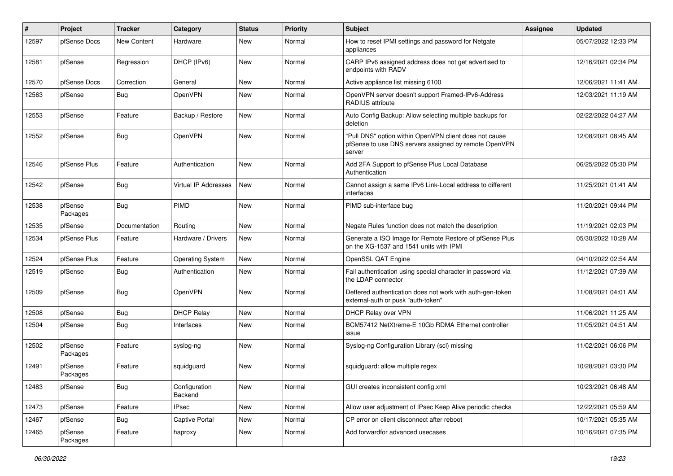| ∦     | Project             | <b>Tracker</b>     | Category                    | <b>Status</b> | <b>Priority</b> | <b>Subject</b>                                                                                                            | Assignee | <b>Updated</b>      |
|-------|---------------------|--------------------|-----------------------------|---------------|-----------------|---------------------------------------------------------------------------------------------------------------------------|----------|---------------------|
| 12597 | pfSense Docs        | <b>New Content</b> | Hardware                    | New           | Normal          | How to reset IPMI settings and password for Netgate<br>appliances                                                         |          | 05/07/2022 12:33 PM |
| 12581 | pfSense             | Regression         | DHCP (IPv6)                 | New           | Normal          | CARP IPv6 assigned address does not get advertised to<br>endpoints with RADV                                              |          | 12/16/2021 02:34 PM |
| 12570 | pfSense Docs        | Correction         | General                     | New           | Normal          | Active appliance list missing 6100                                                                                        |          | 12/06/2021 11:41 AM |
| 12563 | pfSense             | <b>Bug</b>         | OpenVPN                     | New           | Normal          | OpenVPN server doesn't support Framed-IPv6-Address<br>RADIUS attribute                                                    |          | 12/03/2021 11:19 AM |
| 12553 | pfSense             | Feature            | Backup / Restore            | New           | Normal          | Auto Config Backup: Allow selecting multiple backups for<br>deletion                                                      |          | 02/22/2022 04:27 AM |
| 12552 | pfSense             | Bug                | OpenVPN                     | New           | Normal          | "Pull DNS" option within OpenVPN client does not cause<br>pfSense to use DNS servers assigned by remote OpenVPN<br>server |          | 12/08/2021 08:45 AM |
| 12546 | pfSense Plus        | Feature            | Authentication              | <b>New</b>    | Normal          | Add 2FA Support to pfSense Plus Local Database<br>Authentication                                                          |          | 06/25/2022 05:30 PM |
| 12542 | pfSense             | Bug                | <b>Virtual IP Addresses</b> | New           | Normal          | Cannot assign a same IPv6 Link-Local address to different<br>interfaces                                                   |          | 11/25/2021 01:41 AM |
| 12538 | pfSense<br>Packages | Bug                | <b>PIMD</b>                 | New           | Normal          | PIMD sub-interface bug                                                                                                    |          | 11/20/2021 09:44 PM |
| 12535 | pfSense             | Documentation      | Routing                     | <b>New</b>    | Normal          | Negate Rules function does not match the description                                                                      |          | 11/19/2021 02:03 PM |
| 12534 | pfSense Plus        | Feature            | Hardware / Drivers          | New           | Normal          | Generate a ISO Image for Remote Restore of pfSense Plus<br>on the XG-1537 and 1541 units with IPMI                        |          | 05/30/2022 10:28 AM |
| 12524 | pfSense Plus        | Feature            | <b>Operating System</b>     | New           | Normal          | OpenSSL QAT Engine                                                                                                        |          | 04/10/2022 02:54 AM |
| 12519 | pfSense             | Bug                | Authentication              | New           | Normal          | Fail authentication using special character in password via<br>the LDAP connector                                         |          | 11/12/2021 07:39 AM |
| 12509 | pfSense             | <b>Bug</b>         | OpenVPN                     | New           | Normal          | Deffered authentication does not work with auth-gen-token<br>external-auth or pusk "auth-token"                           |          | 11/08/2021 04:01 AM |
| 12508 | pfSense             | <b>Bug</b>         | <b>DHCP Relay</b>           | New           | Normal          | DHCP Relay over VPN                                                                                                       |          | 11/06/2021 11:25 AM |
| 12504 | pfSense             | <b>Bug</b>         | Interfaces                  | New           | Normal          | BCM57412 NetXtreme-E 10Gb RDMA Ethernet controller<br>issue                                                               |          | 11/05/2021 04:51 AM |
| 12502 | pfSense<br>Packages | Feature            | syslog-ng                   | New           | Normal          | Syslog-ng Configuration Library (scl) missing                                                                             |          | 11/02/2021 06:06 PM |
| 12491 | pfSense<br>Packages | Feature            | squidguard                  | New           | Normal          | squidguard: allow multiple regex                                                                                          |          | 10/28/2021 03:30 PM |
| 12483 | pfSense             | <b>Bug</b>         | Configuration<br>Backend    | New           | Normal          | GUI creates inconsistent config.xml                                                                                       |          | 10/23/2021 06:48 AM |
| 12473 | pfSense             | Feature            | <b>IPsec</b>                | New           | Normal          | Allow user adjustment of IPsec Keep Alive periodic checks                                                                 |          | 12/22/2021 05:59 AM |
| 12467 | pfSense             | <b>Bug</b>         | Captive Portal              | New           | Normal          | CP error on client disconnect after reboot                                                                                |          | 10/17/2021 05:35 AM |
| 12465 | pfSense<br>Packages | Feature            | haproxy                     | New           | Normal          | Add forwardfor advanced usecases                                                                                          |          | 10/16/2021 07:35 PM |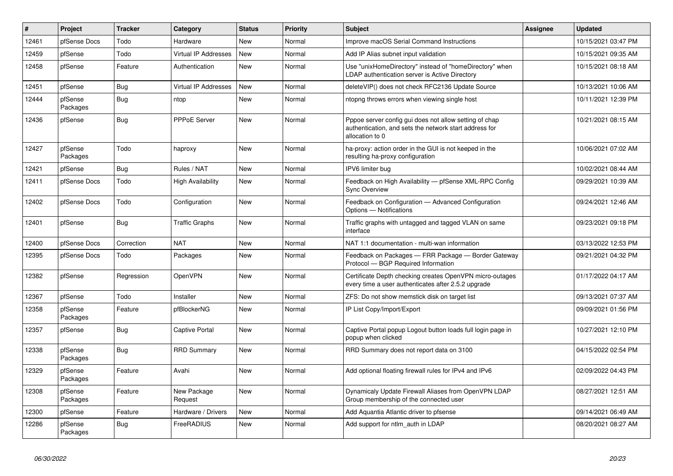| $\sharp$ | Project             | <b>Tracker</b> | Category                    | <b>Status</b> | <b>Priority</b> | <b>Subject</b>                                                                                                                      | <b>Assignee</b> | <b>Updated</b>      |
|----------|---------------------|----------------|-----------------------------|---------------|-----------------|-------------------------------------------------------------------------------------------------------------------------------------|-----------------|---------------------|
| 12461    | pfSense Docs        | Todo           | Hardware                    | New           | Normal          | Improve macOS Serial Command Instructions                                                                                           |                 | 10/15/2021 03:47 PM |
| 12459    | pfSense             | Todo           | <b>Virtual IP Addresses</b> | New           | Normal          | Add IP Alias subnet input validation                                                                                                |                 | 10/15/2021 09:35 AM |
| 12458    | pfSense             | Feature        | Authentication              | <b>New</b>    | Normal          | Use "unixHomeDirectory" instead of "homeDirectory" when<br>LDAP authentication server is Active Directory                           |                 | 10/15/2021 08:18 AM |
| 12451    | pfSense             | <b>Bug</b>     | <b>Virtual IP Addresses</b> | <b>New</b>    | Normal          | deleteVIP() does not check RFC2136 Update Source                                                                                    |                 | 10/13/2021 10:06 AM |
| 12444    | pfSense<br>Packages | Bug            | ntop                        | <b>New</b>    | Normal          | ntopng throws errors when viewing single host                                                                                       |                 | 10/11/2021 12:39 PM |
| 12436    | pfSense             | Bug            | PPPoE Server                | <b>New</b>    | Normal          | Pppoe server config gui does not allow setting of chap<br>authentication, and sets the network start address for<br>allocation to 0 |                 | 10/21/2021 08:15 AM |
| 12427    | pfSense<br>Packages | Todo           | haproxy                     | <b>New</b>    | Normal          | ha-proxy: action order in the GUI is not keeped in the<br>resulting ha-proxy configuration                                          |                 | 10/06/2021 07:02 AM |
| 12421    | pfSense             | <b>Bug</b>     | Rules / NAT                 | <b>New</b>    | Normal          | IPV6 limiter bug                                                                                                                    |                 | 10/02/2021 08:44 AM |
| 12411    | pfSense Docs        | Todo           | <b>High Availability</b>    | <b>New</b>    | Normal          | Feedback on High Availability - pfSense XML-RPC Config<br><b>Sync Overview</b>                                                      |                 | 09/29/2021 10:39 AM |
| 12402    | pfSense Docs        | Todo           | Configuration               | <b>New</b>    | Normal          | Feedback on Configuration - Advanced Configuration<br>Options - Notifications                                                       |                 | 09/24/2021 12:46 AM |
| 12401    | pfSense             | <b>Bug</b>     | <b>Traffic Graphs</b>       | <b>New</b>    | Normal          | Traffic graphs with untagged and tagged VLAN on same<br>interface                                                                   |                 | 09/23/2021 09:18 PM |
| 12400    | pfSense Docs        | Correction     | <b>NAT</b>                  | <b>New</b>    | Normal          | NAT 1:1 documentation - multi-wan information                                                                                       |                 | 03/13/2022 12:53 PM |
| 12395    | pfSense Docs        | Todo           | Packages                    | <b>New</b>    | Normal          | Feedback on Packages - FRR Package - Border Gateway<br>Protocol - BGP Required Information                                          |                 | 09/21/2021 04:32 PM |
| 12382    | pfSense             | Regression     | <b>OpenVPN</b>              | <b>New</b>    | Normal          | Certificate Depth checking creates OpenVPN micro-outages<br>every time a user authenticates after 2.5.2 upgrade                     |                 | 01/17/2022 04:17 AM |
| 12367    | pfSense             | Todo           | Installer                   | <b>New</b>    | Normal          | ZFS: Do not show memstick disk on target list                                                                                       |                 | 09/13/2021 07:37 AM |
| 12358    | pfSense<br>Packages | Feature        | pfBlockerNG                 | <b>New</b>    | Normal          | IP List Copy/Import/Export                                                                                                          |                 | 09/09/2021 01:56 PM |
| 12357    | pfSense             | <b>Bug</b>     | <b>Captive Portal</b>       | <b>New</b>    | Normal          | Captive Portal popup Logout button loads full login page in<br>popup when clicked                                                   |                 | 10/27/2021 12:10 PM |
| 12338    | pfSense<br>Packages | Bug            | <b>RRD Summary</b>          | <b>New</b>    | Normal          | RRD Summary does not report data on 3100                                                                                            |                 | 04/15/2022 02:54 PM |
| 12329    | pfSense<br>Packages | Feature        | Avahi                       | <b>New</b>    | Normal          | Add optional floating firewall rules for IPv4 and IPv6                                                                              |                 | 02/09/2022 04:43 PM |
| 12308    | pfSense<br>Packages | Feature        | New Package<br>Request      | <b>New</b>    | Normal          | Dynamicaly Update Firewall Aliases from OpenVPN LDAP<br>Group membership of the connected user                                      |                 | 08/27/2021 12:51 AM |
| 12300    | pfSense             | Feature        | Hardware / Drivers          | <b>New</b>    | Normal          | Add Aquantia Atlantic driver to pfsense                                                                                             |                 | 09/14/2021 06:49 AM |
| 12286    | pfSense<br>Packages | <b>Bug</b>     | FreeRADIUS                  | <b>New</b>    | Normal          | Add support for ntlm auth in LDAP                                                                                                   |                 | 08/20/2021 08:27 AM |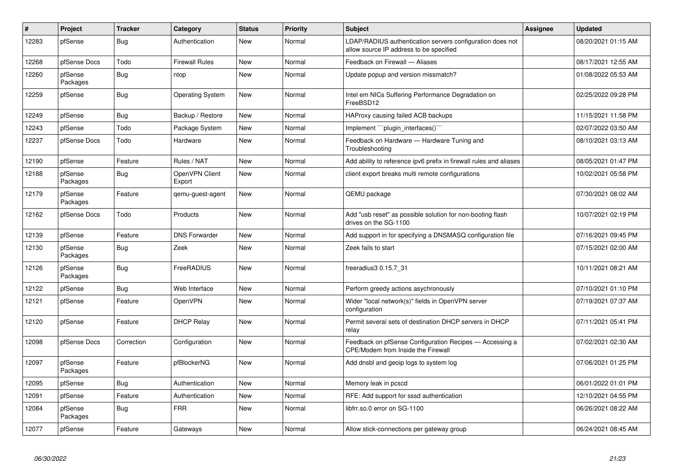| $\vert$ # | Project             | <b>Tracker</b> | Category                 | <b>Status</b> | <b>Priority</b> | <b>Subject</b>                                                                                       | Assignee | <b>Updated</b>      |
|-----------|---------------------|----------------|--------------------------|---------------|-----------------|------------------------------------------------------------------------------------------------------|----------|---------------------|
| 12283     | pfSense             | Bug            | Authentication           | New           | Normal          | LDAP/RADIUS authentication servers configuration does not<br>allow source IP address to be specified |          | 08/20/2021 01:15 AM |
| 12268     | pfSense Docs        | Todo           | <b>Firewall Rules</b>    | New           | Normal          | Feedback on Firewall - Aliases                                                                       |          | 08/17/2021 12:55 AM |
| 12260     | pfSense<br>Packages | <b>Bug</b>     | ntop                     | New           | Normal          | Update popup and version missmatch?                                                                  |          | 01/08/2022 05:53 AM |
| 12259     | pfSense             | Bug            | <b>Operating System</b>  | New           | Normal          | Intel em NICs Suffering Performance Degradation on<br>FreeBSD12                                      |          | 02/25/2022 09:28 PM |
| 12249     | pfSense             | Bug            | Backup / Restore         | New           | Normal          | HAProxy causing failed ACB backups                                                                   |          | 11/15/2021 11:58 PM |
| 12243     | pfSense             | Todo           | Package System           | New           | Normal          | Implement ```plugin interfaces()```                                                                  |          | 02/07/2022 03:50 AM |
| 12237     | pfSense Docs        | Todo           | Hardware                 | New           | Normal          | Feedback on Hardware - Hardware Tuning and<br>Troubleshooting                                        |          | 08/10/2021 03:13 AM |
| 12190     | pfSense             | Feature        | Rules / NAT              | New           | Normal          | Add ability to reference ipv6 prefix in firewall rules and aliases                                   |          | 08/05/2021 01:47 PM |
| 12188     | pfSense<br>Packages | Bug            | OpenVPN Client<br>Export | New           | Normal          | client export breaks multi remote configurations                                                     |          | 10/02/2021 05:58 PM |
| 12179     | pfSense<br>Packages | Feature        | qemu-guest-agent         | New           | Normal          | QEMU package                                                                                         |          | 07/30/2021 08:02 AM |
| 12162     | pfSense Docs        | Todo           | Products                 | <b>New</b>    | Normal          | Add "usb reset" as possible solution for non-booting flash<br>drives on the SG-1100                  |          | 10/07/2021 02:19 PM |
| 12139     | pfSense             | Feature        | <b>DNS Forwarder</b>     | <b>New</b>    | Normal          | Add support in for specifying a DNSMASQ configuration file                                           |          | 07/16/2021 09:45 PM |
| 12130     | pfSense<br>Packages | Bug            | Zeek                     | New           | Normal          | Zeek fails to start                                                                                  |          | 07/15/2021 02:00 AM |
| 12126     | pfSense<br>Packages | Bug            | FreeRADIUS               | New           | Normal          | freeradius3 0.15.7 31                                                                                |          | 10/11/2021 08:21 AM |
| 12122     | pfSense             | Bug            | Web Interface            | <b>New</b>    | Normal          | Perform greedy actions asychronously                                                                 |          | 07/10/2021 01:10 PM |
| 12121     | pfSense             | Feature        | OpenVPN                  | New           | Normal          | Wider "local network(s)" fields in OpenVPN server<br>configuration                                   |          | 07/19/2021 07:37 AM |
| 12120     | pfSense             | Feature        | <b>DHCP Relay</b>        | New           | Normal          | Permit several sets of destination DHCP servers in DHCP<br>relay                                     |          | 07/11/2021 05:41 PM |
| 12098     | pfSense Docs        | Correction     | Configuration            | New           | Normal          | Feedback on pfSense Configuration Recipes - Accessing a<br>CPE/Modem from Inside the Firewall        |          | 07/02/2021 02:30 AM |
| 12097     | pfSense<br>Packages | Feature        | pfBlockerNG              | New           | Normal          | Add dnsbl and geoip logs to system log                                                               |          | 07/06/2021 01:25 PM |
| 12095     | pfSense             | Bug            | Authentication           | New           | Normal          | Memory leak in pcscd                                                                                 |          | 06/01/2022 01:01 PM |
| 12091     | pfSense             | Feature        | Authentication           | New           | Normal          | RFE: Add support for sssd authentication                                                             |          | 12/10/2021 04:55 PM |
| 12084     | pfSense<br>Packages | Bug            | <b>FRR</b>               | New           | Normal          | libfrr.so.0 error on SG-1100                                                                         |          | 06/26/2021 08:22 AM |
| 12077     | pfSense             | Feature        | Gateways                 | New           | Normal          | Allow stick-connections per gateway group                                                            |          | 06/24/2021 08:45 AM |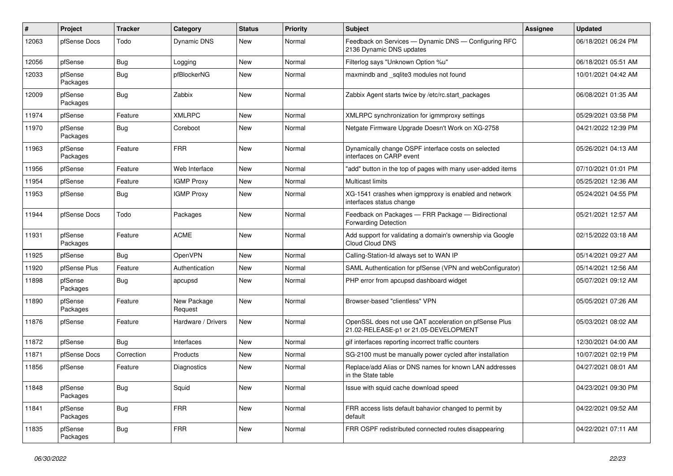| $\vert$ # | Project             | <b>Tracker</b> | Category               | <b>Status</b> | <b>Priority</b> | Subject                                                                                        | Assignee | <b>Updated</b>      |
|-----------|---------------------|----------------|------------------------|---------------|-----------------|------------------------------------------------------------------------------------------------|----------|---------------------|
| 12063     | pfSense Docs        | Todo           | Dynamic DNS            | New           | Normal          | Feedback on Services - Dynamic DNS - Configuring RFC<br>2136 Dynamic DNS updates               |          | 06/18/2021 06:24 PM |
| 12056     | pfSense             | Bug            | Logging                | New           | Normal          | Filterlog says "Unknown Option %u"                                                             |          | 06/18/2021 05:51 AM |
| 12033     | pfSense<br>Packages | <b>Bug</b>     | pfBlockerNG            | New           | Normal          | maxmindb and _sqlite3 modules not found                                                        |          | 10/01/2021 04:42 AM |
| 12009     | pfSense<br>Packages | Bug            | Zabbix                 | New           | Normal          | Zabbix Agent starts twice by /etc/rc.start_packages                                            |          | 06/08/2021 01:35 AM |
| 11974     | pfSense             | Feature        | <b>XMLRPC</b>          | New           | Normal          | XMLRPC synchronization for igmmproxy settings                                                  |          | 05/29/2021 03:58 PM |
| 11970     | pfSense<br>Packages | <b>Bug</b>     | Coreboot               | New           | Normal          | Netgate Firmware Upgrade Doesn't Work on XG-2758                                               |          | 04/21/2022 12:39 PM |
| 11963     | pfSense<br>Packages | Feature        | <b>FRR</b>             | New           | Normal          | Dynamically change OSPF interface costs on selected<br>interfaces on CARP event                |          | 05/26/2021 04:13 AM |
| 11956     | pfSense             | Feature        | Web Interface          | New           | Normal          | "add" button in the top of pages with many user-added items                                    |          | 07/10/2021 01:01 PM |
| 11954     | pfSense             | Feature        | <b>IGMP Proxy</b>      | New           | Normal          | Multicast limits                                                                               |          | 05/25/2021 12:36 AM |
| 11953     | pfSense             | Bug            | <b>IGMP Proxy</b>      | New           | Normal          | XG-1541 crashes when igmpproxy is enabled and network<br>interfaces status change              |          | 05/24/2021 04:55 PM |
| 11944     | pfSense Docs        | Todo           | Packages               | New           | Normal          | Feedback on Packages - FRR Package - Bidirectional<br><b>Forwarding Detection</b>              |          | 05/21/2021 12:57 AM |
| 11931     | pfSense<br>Packages | Feature        | <b>ACME</b>            | New           | Normal          | Add support for validating a domain's ownership via Google<br>Cloud Cloud DNS                  |          | 02/15/2022 03:18 AM |
| 11925     | pfSense             | Bug            | OpenVPN                | <b>New</b>    | Normal          | Calling-Station-Id always set to WAN IP                                                        |          | 05/14/2021 09:27 AM |
| 11920     | pfSense Plus        | Feature        | Authentication         | New           | Normal          | SAML Authentication for pfSense (VPN and webConfigurator)                                      |          | 05/14/2021 12:56 AM |
| 11898     | pfSense<br>Packages | <b>Bug</b>     | apcupsd                | New           | Normal          | PHP error from apcupsd dashboard widget                                                        |          | 05/07/2021 09:12 AM |
| 11890     | pfSense<br>Packages | Feature        | New Package<br>Request | New           | Normal          | Browser-based "clientless" VPN                                                                 |          | 05/05/2021 07:26 AM |
| 11876     | pfSense             | Feature        | Hardware / Drivers     | New           | Normal          | OpenSSL does not use QAT acceleration on pfSense Plus<br>21.02-RELEASE-p1 or 21.05-DEVELOPMENT |          | 05/03/2021 08:02 AM |
| 11872     | pfSense             | Bug            | Interfaces             | New           | Normal          | gif interfaces reporting incorrect traffic counters                                            |          | 12/30/2021 04:00 AM |
| 11871     | pfSense Docs        | Correction     | Products               | New           | Normal          | SG-2100 must be manually power cycled after installation                                       |          | 10/07/2021 02:19 PM |
| 11856     | pfSense             | Feature        | <b>Diagnostics</b>     | New           | Normal          | Replace/add Alias or DNS names for known LAN addresses<br>in the State table                   |          | 04/27/2021 08:01 AM |
| 11848     | pfSense<br>Packages | <b>Bug</b>     | Squid                  | New           | Normal          | Issue with squid cache download speed                                                          |          | 04/23/2021 09:30 PM |
| 11841     | pfSense<br>Packages | <b>Bug</b>     | <b>FRR</b>             | New           | Normal          | FRR access lists default bahavior changed to permit by<br>default                              |          | 04/22/2021 09:52 AM |
| 11835     | pfSense<br>Packages | <b>Bug</b>     | <b>FRR</b>             | New           | Normal          | FRR OSPF redistributed connected routes disappearing                                           |          | 04/22/2021 07:11 AM |